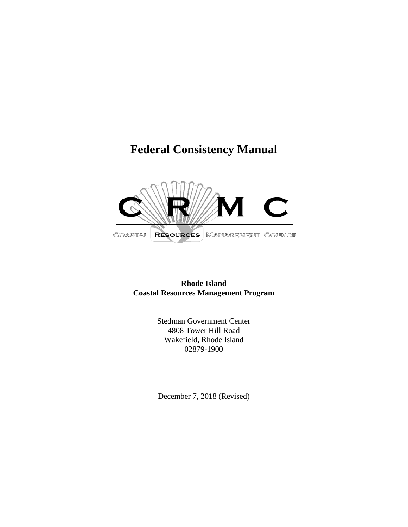# **Federal Consistency Manual**



**Rhode Island Coastal Resources Management Program**

> Stedman Government Center 4808 Tower Hill Road Wakefield, Rhode Island 02879-1900

December 7, 2018 (Revised)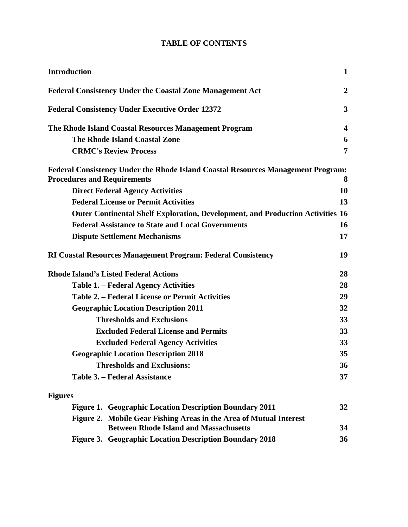## **TABLE OF CONTENTS**

| <b>Introduction</b>                                      |                                                                                                                     | $\mathbf{1}$   |
|----------------------------------------------------------|---------------------------------------------------------------------------------------------------------------------|----------------|
|                                                          | <b>Federal Consistency Under the Coastal Zone Management Act</b>                                                    | $\overline{2}$ |
|                                                          | <b>Federal Consistency Under Executive Order 12372</b>                                                              | 3              |
| The Rhode Island Coastal Resources Management Program    |                                                                                                                     |                |
|                                                          | <b>The Rhode Island Coastal Zone</b>                                                                                | 6              |
|                                                          | <b>CRMC's Review Process</b>                                                                                        | 7              |
| <b>Procedures and Requirements</b>                       | Federal Consistency Under the Rhode Island Coastal Resources Management Program:                                    | 8              |
|                                                          | <b>Direct Federal Agency Activities</b>                                                                             | 10             |
| <b>Federal License or Permit Activities</b>              |                                                                                                                     |                |
|                                                          | <b>Outer Continental Shelf Exploration, Development, and Production Activities 16</b>                               |                |
| <b>Federal Assistance to State and Local Governments</b> |                                                                                                                     | 16             |
|                                                          | <b>Dispute Settlement Mechanisms</b>                                                                                | 17             |
|                                                          | <b>RI Coastal Resources Management Program: Federal Consistency</b>                                                 | 19             |
|                                                          | <b>Rhode Island's Listed Federal Actions</b>                                                                        | 28             |
| <b>Table 1. – Federal Agency Activities</b>              |                                                                                                                     | 28             |
| <b>Table 2. – Federal License or Permit Activities</b>   |                                                                                                                     | 29             |
| <b>Geographic Location Description 2011</b>              |                                                                                                                     | 32             |
| <b>Thresholds and Exclusions</b>                         |                                                                                                                     | 33             |
| <b>Excluded Federal License and Permits</b>              |                                                                                                                     | 33             |
| <b>Excluded Federal Agency Activities</b>                |                                                                                                                     | 33             |
| <b>Geographic Location Description 2018</b>              |                                                                                                                     | 35             |
| <b>Thresholds and Exclusions:</b>                        |                                                                                                                     | 36             |
| Table 3. - Federal Assistance                            |                                                                                                                     | 37             |
| <b>Figures</b>                                           |                                                                                                                     |                |
|                                                          | Figure 1. Geographic Location Description Boundary 2011                                                             | 32             |
|                                                          | Figure 2. Mobile Gear Fishing Areas in the Area of Mutual Interest<br><b>Between Rhode Island and Massachusetts</b> | 34             |
|                                                          | Figure 3. Geographic Location Description Boundary 2018                                                             | 36             |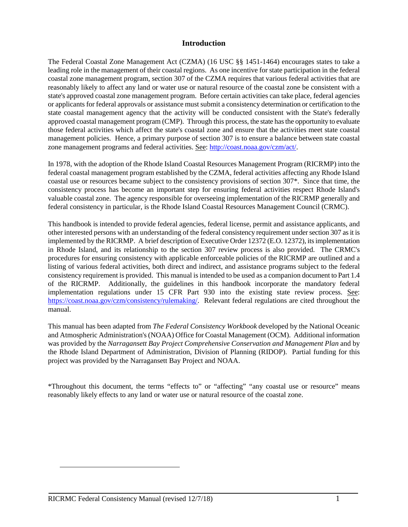#### **Introduction**

The Federal Coastal Zone Management Act (CZMA) (16 USC §§ 1451-1464) encourages states to take a leading role in the management of their coastal regions. As one incentive for state participation in the federal coastal zone management program, section 307 of the CZMA requires that various federal activities that are reasonably likely to affect any land or water use or natural resource of the coastal zone be consistent with a state's approved coastal zone management program. Before certain activities can take place, federal agencies or applicants for federal approvals or assistance must submit a consistency determination or certification to the state coastal management agency that the activity will be conducted consistent with the State's federally approved coastal management program (CMP). Through this process, the state has the opportunity to evaluate those federal activities which affect the state's coastal zone and ensure that the activities meet state coastal management policies. Hence, a primary purpose of section 307 is to ensure a balance between state coastal zone management programs and federal activities. See: [http://coast.noaa.gov/czm/act/.](http://coast.noaa.gov/czm/act/)

In 1978, with the adoption of the Rhode Island Coastal Resources Management Program (RICRMP) into the federal coastal management program established by the CZMA, federal activities affecting any Rhode Island coastal use or resources became subject to the consistency provisions of section 307\*. Since that time, the consistency process has become an important step for ensuring federal activities respect Rhode Island's valuable coastal zone. The agency responsible for overseeing implementation of the RICRMP generally and federal consistency in particular, is the Rhode Island Coastal Resources Management Council (CRMC).

This handbook is intended to provide federal agencies, federal license, permit and assistance applicants, and other interested persons with an understanding of the federal consistency requirement under section 307 as it is implemented by the RICRMP. A brief description of Executive Order 12372 (E.O. 12372), its implementation in Rhode Island, and its relationship to the section 307 review process is also provided. The CRMC's procedures for ensuring consistency with applicable enforceable policies of the RICRMP are outlined and a listing of various federal activities, both direct and indirect, and assistance programs subject to the federal consistency requirement is provided. This manual is intended to be used as a companion document to Part 1.4 of the RICRMP. Additionally, the guidelines in this handbook incorporate the mandatory federal implementation regulations under 15 CFR Part 930 into the existing state review process. See: [https://coast.noaa.gov/czm/consistency/rulemaking/.](https://coast.noaa.gov/czm/consistency/rulemaking/) Relevant federal regulations are cited throughout the manual.

This manual has been adapted from *The Federal Consistency Workbook* developed by the National Oceanic and Atmospheric Administration's (NOAA) Office for Coastal Management (OCM). Additional information was provided by the *Narragansett Bay Project Comprehensive Conservation and Management Plan* and by the Rhode Island Department of Administration, Division of Planning (RIDOP). Partial funding for this project was provided by the Narragansett Bay Project and NOAA.

\*Throughout this document, the terms "effects to" or "affecting" "any coastal use or resource" means reasonably likely effects to any land or water use or natural resource of the coastal zone.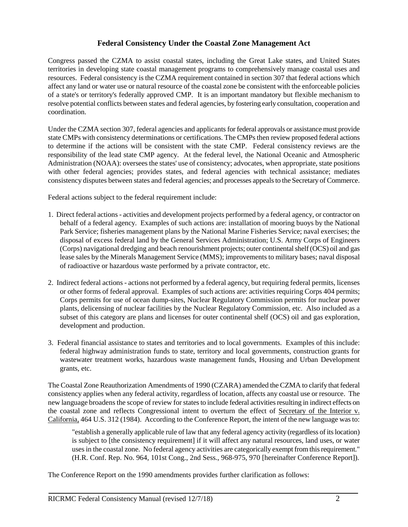#### **Federal Consistency Under the Coastal Zone Management Act**

Congress passed the CZMA to assist coastal states, including the Great Lake states, and United States territories in developing state coastal management programs to comprehensively manage coastal uses and resources. Federal consistency is the CZMA requirement contained in section 307 that federal actions which affect any land or water use or natural resource of the coastal zone be consistent with the enforceable policies of a state's or territory's federally approved CMP. It is an important mandatory but flexible mechanism to resolve potential conflicts between states and federal agencies, by fostering early consultation, cooperation and coordination.

Under the CZMA section 307, federal agencies and applicants for federal approvals or assistance must provide state CMPs with consistency determinations or certifications. The CMPs then review proposed federal actions to determine if the actions will be consistent with the state CMP. Federal consistency reviews are the responsibility of the lead state CMP agency. At the federal level, the National Oceanic and Atmospheric Administration (NOAA): oversees the states' use of consistency; advocates, when appropriate, state positions with other federal agencies; provides states, and federal agencies with technical assistance; mediates consistency disputes between states and federal agencies; and processes appeals to the Secretary of Commerce.

Federal actions subject to the federal requirement include:

- 1. Direct federal actions activities and development projects performed by a federal agency, or contractor on behalf of a federal agency. Examples of such actions are: installation of mooring buoys by the National Park Service; fisheries management plans by the National Marine Fisheries Service; naval exercises; the disposal of excess federal land by the General Services Administration; U.S. Army Corps of Engineers (Corps) navigational dredging and beach renourishment projects; outer continental shelf (OCS) oil and gas lease sales by the Minerals Management Service (MMS); improvements to military bases; naval disposal of radioactive or hazardous waste performed by a private contractor, etc.
- 2. Indirect federal actions actions not performed by a federal agency, but requiring federal permits, licenses or other forms of federal approval. Examples of such actions are: activities requiring Corps 404 permits; Corps permits for use of ocean dump-sites, Nuclear Regulatory Commission permits for nuclear power plants, delicensing of nuclear facilities by the Nuclear Regulatory Commission, etc. Also included as a subset of this category are plans and licenses for outer continental shelf (OCS) oil and gas exploration, development and production.
- 3. Federal financial assistance to states and territories and to local governments. Examples of this include: federal highway administration funds to state, territory and local governments, construction grants for wastewater treatment works, hazardous waste management funds, Housing and Urban Development grants, etc.

The Coastal Zone Reauthorization Amendments of 1990 (CZARA) amended the CZMA to clarify that federal consistency applies when any federal activity, regardless of location, affects any coastal use or resource. The new language broadens the scope of review for states to include federal activities resulting in indirect effects on the coastal zone and reflects Congressional intent to overturn the effect of Secretary of the Interior v. California, 464 U.S. 312 (1984). According to the Conference Report, the intent of the new language was to:

"establish a generally applicable rule of law that any federal agency activity (regardless of its location) is subject to [the consistency requirement] if it will affect any natural resources, land uses, or water uses in the coastal zone. No federal agency activities are categorically exempt from this requirement." (H.R. Conf. Rep. No. 964, 101st Cong., 2nd Sess., 968-975, 970 [hereinafter Conference Report]).

The Conference Report on the 1990 amendments provides further clarification as follows: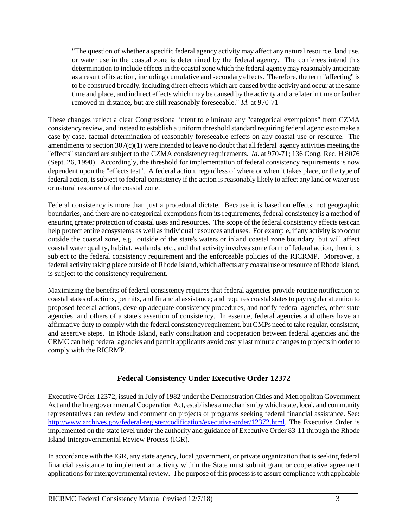"The question of whether a specific federal agency activity may affect any natural resource, land use, or water use in the coastal zone is determined by the federal agency. The conferees intend this determination to include effects in the coastal zone which the federal agency may reasonably anticipate as a result of its action, including cumulative and secondary effects. Therefore, the term "affecting" is to be construed broadly, including direct effects which are caused by the activity and occur at the same time and place, and indirect effects which may be caused by the activity and are later in time or farther removed in distance, but are still reasonably foreseeable." *Id*. at 970-71

These changes reflect a clear Congressional intent to eliminate any "categorical exemptions" from CZMA consistency review, and instead to establish a uniform threshold standard requiring federal agencies to make a case-by-case, factual determination of reasonably foreseeable effects on any coastal use or resource. The amendments to section 307(c)(1) were intended to leave no doubt that all federal agency activities meeting the "effects" standard are subject to the CZMA consistency requirements. *Id*. at 970-71; 136 Cong. Rec. H 8076 (Sept. 26, 1990). Accordingly, the threshold for implementation of federal consistency requirements is now dependent upon the "effects test". A federal action, regardless of where or when it takes place, or the type of federal action, is subject to federal consistency if the action is reasonably likely to affect any land or water use or natural resource of the coastal zone.

Federal consistency is more than just a procedural dictate. Because it is based on effects, not geographic boundaries, and there are no categorical exemptions from its requirements, federal consistency is a method of ensuring greater protection of coastal uses and resources. The scope of the federal consistency effects test can help protect entire ecosystems as well as individual resources and uses. For example, if any activity is to occur outside the coastal zone, e.g., outside of the state's waters or inland coastal zone boundary, but will affect coastal water quality, habitat, wetlands, etc., and that activity involves some form of federal action, then it is subject to the federal consistency requirement and the enforceable policies of the RICRMP. Moreover, a federal activity taking place outside of Rhode Island, which affects any coastal use or resource of Rhode Island, is subject to the consistency requirement.

Maximizing the benefits of federal consistency requires that federal agencies provide routine notification to coastal states of actions, permits, and financial assistance; and requires coastal states to pay regular attention to proposed federal actions, develop adequate consistency procedures, and notify federal agencies, other state agencies, and others of a state's assertion of consistency. In essence, federal agencies and others have an affirmative duty to comply with the federal consistency requirement, but CMPs need to take regular, consistent, and assertive steps. In Rhode Island, early consultation and cooperation between federal agencies and the CRMC can help federal agencies and permit applicants avoid costly last minute changes to projects in order to comply with the RICRMP.

## **Federal Consistency Under Executive Order 12372**

Executive Order 12372, issued in July of 1982 under the Demonstration Cities and Metropolitan Government Act and the Intergovernmental Cooperation Act, establishes a mechanism by which state, local, and community representatives can review and comment on projects or programs seeking federal financial assistance. See: [http://www.archives.gov/federal-register/codification/executive-order/12372.html.](http://www.archives.gov/federal-register/codification/executive-order/12372.html) The Executive Order is implemented on the state level under the authority and guidance of Executive Order 83-11 through the Rhode Island Intergovernmental Review Process (IGR).

In accordance with the IGR, any state agency, local government, or private organization that is seeking federal financial assistance to implement an activity within the State must submit grant or cooperative agreement applications for intergovernmental review. The purpose of this process is to assure compliance with applicable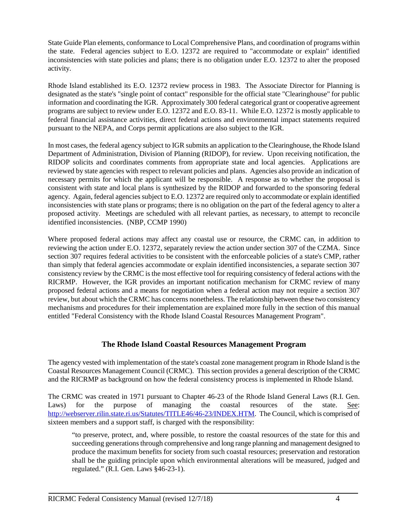State Guide Plan elements, conformance to Local Comprehensive Plans, and coordination of programs within the state. Federal agencies subject to E.O. 12372 are required to "accommodate or explain" identified inconsistencies with state policies and plans; there is no obligation under E.O. 12372 to alter the proposed activity.

Rhode Island established its E.O. 12372 review process in 1983. The Associate Director for Planning is designated as the state's "single point of contact" responsible for the official state "Clearinghouse" for public information and coordinating the IGR. Approximately 300 federal categorical grant or cooperative agreement programs are subject to review under E.O. 12372 and E.O. 83-11. While E.O. 12372 is mostly applicable to federal financial assistance activities, direct federal actions and environmental impact statements required pursuant to the NEPA, and Corps permit applications are also subject to the IGR.

In most cases, the federal agency subject to IGR submits an application to the Clearinghouse, the Rhode Island Department of Administration, Division of Planning (RIDOP), for review. Upon receiving notification, the RIDOP solicits and coordinates comments from appropriate state and local agencies. Applications are reviewed by state agencies with respect to relevant policies and plans. Agencies also provide an indication of necessary permits for which the applicant will be responsible. A response as to whether the proposal is consistent with state and local plans is synthesized by the RIDOP and forwarded to the sponsoring federal agency. Again, federal agencies subject to E.O. 12372 are required only to accommodate or explain identified inconsistencies with state plans or programs; there is no obligation on the part of the federal agency to alter a proposed activity. Meetings are scheduled with all relevant parties, as necessary, to attempt to reconcile identified inconsistencies. (NBP, CCMP 1990)

Where proposed federal actions may affect any coastal use or resource, the CRMC can, in addition to reviewing the action under E.O. 12372, separately review the action under section 307 of the CZMA. Since section 307 requires federal activities to be consistent with the enforceable policies of a state's CMP, rather than simply that federal agencies accommodate or explain identified inconsistencies, a separate section 307 consistency review by the CRMC is the most effective tool for requiring consistency of federal actions with the RICRMP. However, the IGR provides an important notification mechanism for CRMC review of many proposed federal actions and a means for negotiation when a federal action may not require a section 307 review, but about which the CRMC has concerns nonetheless. The relationship between these two consistency mechanisms and procedures for their implementation are explained more fully in the section of this manual entitled "Federal Consistency with the Rhode Island Coastal Resources Management Program".

## **The Rhode Island Coastal Resources Management Program**

The agency vested with implementation of the state's coastal zone management program in Rhode Island is the Coastal Resources Management Council (CRMC). This section provides a general description of the CRMC and the RICRMP as background on how the federal consistency process is implemented in Rhode Island.

The CRMC was created in 1971 pursuant to Chapter 46-23 of the Rhode Island General Laws (R.I. Gen. Laws) for the purpose of managing the coastal resources of the state. See: [http://webserver.rilin.state.ri.us/Statutes/TITLE46/46-23/INDEX.HTM.](http://webserver.rilin.state.ri.us/Statutes/TITLE46/46-23/INDEX.HTM) The Council, which is comprised of sixteen members and a support staff, is charged with the responsibility:

"to preserve, protect, and, where possible, to restore the coastal resources of the state for this and succeeding generations through comprehensive and long range planning and management designed to produce the maximum benefits for society from such coastal resources; preservation and restoration shall be the guiding principle upon which environmental alterations will be measured, judged and regulated." (R.I. Gen. Laws §46-23-1).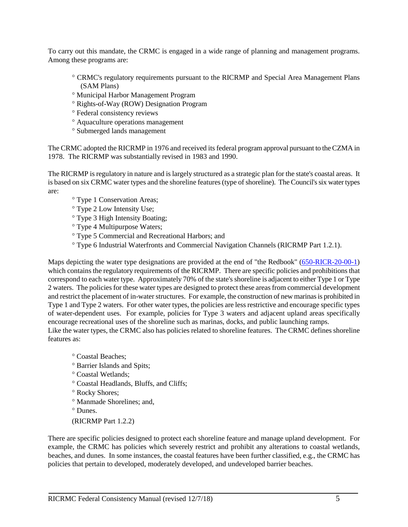To carry out this mandate, the CRMC is engaged in a wide range of planning and management programs. Among these programs are:

- ° CRMC's regulatory requirements pursuant to the RICRMP and Special Area Management Plans (SAM Plans)
- ° Municipal Harbor Management Program
- ° Rights-of-Way (ROW) Designation Program
- ° Federal consistency reviews
- ° Aquaculture operations management
- ° Submerged lands management

The CRMC adopted the RICRMP in 1976 and received its federal program approval pursuant to the CZMA in 1978. The RICRMP was substantially revised in 1983 and 1990.

The RICRMP is regulatory in nature and is largely structured as a strategic plan for the state's coastal areas. It is based on six CRMC water types and the shoreline features (type of shoreline). The Council's six water types are:

- ° Type 1 Conservation Areas;
- ° Type 2 Low Intensity Use;
- ° Type 3 High Intensity Boating;
- ° Type 4 Multipurpose Waters;
- ° Type 5 Commercial and Recreational Harbors; and
- ° Type 6 Industrial Waterfronts and Commercial Navigation Channels (RICRMP Part 1.2.1).

Maps depicting the water type designations are provided at the end of "the Redbook" [\(650-RICR-20-00-1\)](https://rules.sos.ri.gov/regulations/part/650-20-00-1) which contains the regulatory requirements of the RICRMP. There are specific policies and prohibitions that correspond to each water type. Approximately 70% of the state's shoreline is adjacent to either Type 1 or Type 2 waters. The policies for these water types are designed to protect these areas from commercial development and restrict the placement of in-water structures. For example, the construction of new marinas is prohibited in Type 1 and Type 2 waters. For other water types, the policies are less restrictive and encourage specific types of water-dependent uses. For example, policies for Type 3 waters and adjacent upland areas specifically encourage recreational uses of the shoreline such as marinas, docks, and public launching ramps. Like the water types, the CRMC also has policies related to shoreline features. The CRMC defines shoreline

features as:

- ° Coastal Beaches;
- ° Barrier Islands and Spits;
- ° Coastal Wetlands;
- ° Coastal Headlands, Bluffs, and Cliffs;
- ° Rocky Shores;
- ° Manmade Shorelines; and,
- ° Dunes.
- (RICRMP Part 1.2.2)

There are specific policies designed to protect each shoreline feature and manage upland development. For example, the CRMC has policies which severely restrict and prohibit any alterations to coastal wetlands, beaches, and dunes. In some instances, the coastal features have been further classified, e.g., the CRMC has policies that pertain to developed, moderately developed, and undeveloped barrier beaches.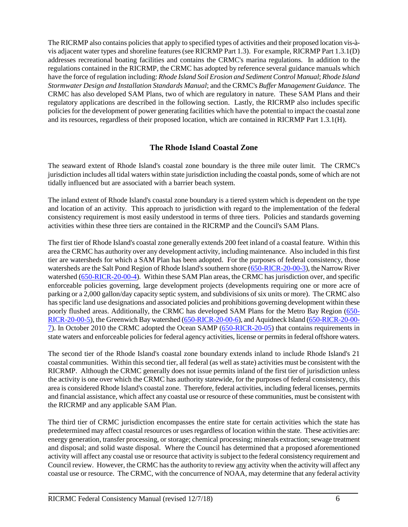The RICRMP also contains policies that apply to specified types of activities and their proposed location vis-àvis adjacent water types and shoreline features (see RICRMP Part 1.3). For example, RICRMP Part 1.3.1(D) addresses recreational boating facilities and contains the CRMC's marina regulations. In addition to the regulations contained in the RICRMP, the CRMC has adopted by reference several guidance manuals which have the force of regulation including: *Rhode Island Soil Erosion and Sediment Control Manual*; *Rhode Island Stormwater Design and Installation Standards Manual*; and the CRMC's *Buffer Management Guidance*.The CRMC has also developed SAM Plans, two of which are regulatory in nature. These SAM Plans and their regulatory applications are described in the following section. Lastly, the RICRMP also includes specific policies for the development of power generating facilities which have the potential to impact the coastal zone and its resources, regardless of their proposed location, which are contained in RICRMP Part 1.3.1(H).

#### **The Rhode Island Coastal Zone**

The seaward extent of Rhode Island's coastal zone boundary is the three mile outer limit. The CRMC's jurisdiction includes all tidal waters within state jurisdiction including the coastal ponds, some of which are not tidally influenced but are associated with a barrier beach system.

The inland extent of Rhode Island's coastal zone boundary is a tiered system which is dependent on the type and location of an activity. This approach to jurisdiction with regard to the implementation of the federal consistency requirement is most easily understood in terms of three tiers. Policies and standards governing activities within these three tiers are contained in the RICRMP and the Council's SAM Plans.

The first tier of Rhode Island's coastal zone generally extends 200 feet inland of a coastal feature. Within this area the CRMC has authority over any development activity, including maintenance. Also included in this first tier are watersheds for which a SAM Plan has been adopted. For the purposes of federal consistency, those watersheds are the Salt Pond Region of Rhode Island's southern shore [\(650-RICR-20-00-3\)](https://rules.sos.ri.gov/regulations/part/650-20-00-3), the Narrow River watershed [\(650-RICR-20-00-4\)](https://rules.sos.ri.gov/regulations/part/650-20-00-4). Within these SAM Plan areas, the CRMC has jurisdiction over, and specific enforceable policies governing, large development projects (developments requiring one or more acre of parking or a 2,000 gallon/day capacity septic system, and subdivisions of six units or more). The CRMC also has specific land use designations and associated policies and prohibitions governing development within these poorly flushed areas. Additionally, the CRMC has developed SAM Plans for the Metro Bay Region [\(650-](https://rules.sos.ri.gov/regulations/part/650-20-00-5) [RICR-20-00-5\)](https://rules.sos.ri.gov/regulations/part/650-20-00-5), the Greenwich Bay watershed [\(650-RICR-20-00-6\)](https://rules.sos.ri.gov/regulations/part/650-20-00-6), and Aquidneck Island [\(650-RICR-20-00-](https://rules.sos.ri.gov/regulations/part/650-20-00-7) [7\)](https://rules.sos.ri.gov/regulations/part/650-20-00-7). In October 2010 the CRMC adopted the Ocean SAMP [\(650-RICR-20-05\)](https://rules.sos.ri.gov/organizations/subchapter/650-20-05) that contains requirements in state waters and enforceable policies for federal agency activities, license or permits in federal offshore waters.

The second tier of the Rhode Island's coastal zone boundary extends inland to include Rhode Island's 21 coastal communities. Within this second tier, all federal (as well as state) activities must be consistent with the RICRMP. Although the CRMC generally does not issue permits inland of the first tier of jurisdiction unless the activity is one over which the CRMC has authority statewide, for the purposes of federal consistency, this area is considered Rhode Island's coastal zone. Therefore, federal activities, including federal licenses, permits and financial assistance, which affect any coastal use or resource of these communities, must be consistent with the RICRMP and any applicable SAM Plan.

The third tier of CRMC jurisdiction encompasses the entire state for certain activities which the state has predetermined may affect coastal resources or uses regardless of location within the state. These activities are: energy generation, transfer processing, or storage; chemical processing; minerals extraction; sewage treatment and disposal; and solid waste disposal. Where the Council has determined that a proposed aforementioned activity will affect any coastal use or resource that activity is subject to the federal consistency requirement and Council review. However, the CRMC has the authority to review any activity when the activity will affect any coastal use or resource. The CRMC, with the concurrence of NOAA, may determine that any federal activity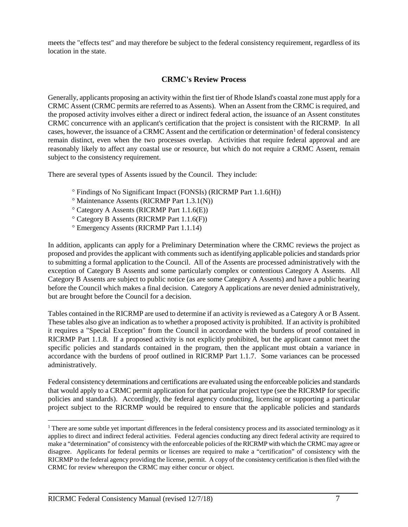meets the "effects test" and may therefore be subject to the federal consistency requirement, regardless of its location in the state.

## **CRMC's Review Process**

Generally, applicants proposing an activity within the first tier of Rhode Island's coastal zone must apply for a CRMC Assent (CRMC permits are referred to as Assents). When an Assent from the CRMC is required, and the proposed activity involves either a direct or indirect federal action, the issuance of an Assent constitutes CRMC concurrence with an applicant's certification that the project is consistent with the RICRMP. In all cases, however, the issuance of a CRMC Assent and the certification or determination<sup>[1](#page-8-0)</sup> of federal consistency remain distinct, even when the two processes overlap. Activities that require federal approval and are reasonably likely to affect any coastal use or resource, but which do not require a CRMC Assent, remain subject to the consistency requirement.

There are several types of Assents issued by the Council. They include:

- ° Findings of No Significant Impact (FONSIs) (RICRMP Part 1.1.6(H))
- ° Maintenance Assents (RICRMP Part 1.3.1(N))
- ° Category A Assents (RICRMP Part 1.1.6(E))
- ° Category B Assents (RICRMP Part 1.1.6(F))
- ° Emergency Assents (RICRMP Part 1.1.14)

In addition, applicants can apply for a Preliminary Determination where the CRMC reviews the project as proposed and provides the applicant with comments such as identifying applicable policies and standards prior to submitting a formal application to the Council. All of the Assents are processed administratively with the exception of Category B Assents and some particularly complex or contentious Category A Assents. All Category B Assents are subject to public notice (as are some Category A Assents) and have a public hearing before the Council which makes a final decision. Category A applications are never denied administratively, but are brought before the Council for a decision.

Tables contained in the RICRMP are used to determine if an activity is reviewed as a Category A or B Assent. These tables also give an indication as to whether a proposed activity is prohibited. If an activity is prohibited it requires a "Special Exception" from the Council in accordance with the burdens of proof contained in RICRMP Part 1.1.8. If a proposed activity is not explicitly prohibited, but the applicant cannot meet the specific policies and standards contained in the program, then the applicant must obtain a variance in accordance with the burdens of proof outlined in RICRMP Part 1.1.7. Some variances can be processed administratively.

Federal consistency determinations and certifications are evaluated using the enforceable policies and standards that would apply to a CRMC permit application for that particular project type (see the RICRMP for specific policies and standards). Accordingly, the federal agency conducting, licensing or supporting a particular project subject to the RICRMP would be required to ensure that the applicable policies and standards

<span id="page-8-0"></span><sup>&</sup>lt;sup>1</sup> There are some subtle yet important differences in the federal consistency process and its associated terminology as it applies to direct and indirect federal activities. Federal agencies conducting any direct federal activity are required to make a "determination" of consistency with the enforceable policies of the RICRMP with which the CRMC may agree or disagree. Applicants for federal permits or licenses are required to make a "certification" of consistency with the RICRMP to the federal agency providing the license, permit. A copy of the consistency certification is then filed with the CRMC for review whereupon the CRMC may either concur or object.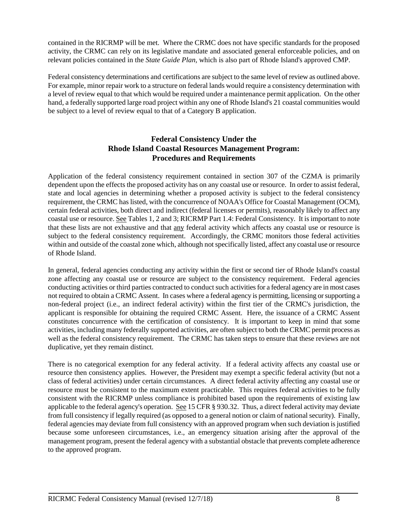contained in the RICRMP will be met. Where the CRMC does not have specific standards for the proposed activity, the CRMC can rely on its legislative mandate and associated general enforceable policies, and on relevant policies contained in the *State Guide Plan,* which is also part of Rhode Island's approved CMP.

Federal consistency determinations and certifications are subject to the same level of review as outlined above. For example, minor repair work to a structure on federal lands would require a consistency determination with a level of review equal to that which would be required under a maintenance permit application. On the other hand, a federally supported large road project within any one of Rhode Island's 21 coastal communities would be subject to a level of review equal to that of a Category B application.

## **Federal Consistency Under the Rhode Island Coastal Resources Management Program: Procedures and Requirements**

Application of the federal consistency requirement contained in section 307 of the CZMA is primarily dependent upon the effects the proposed activity has on any coastal use or resource. In order to assist federal, state and local agencies in determining whether a proposed activity is subject to the federal consistency requirement, the CRMC has listed, with the concurrence of NOAA's Office for Coastal Management (OCM), certain federal activities, both direct and indirect (federal licenses or permits), reasonably likely to affect any coastal use or resource. See Tables 1, 2 and 3; RICRMP Part 1.4: Federal Consistency. It is important to note that these lists are not exhaustive and that any federal activity which affects any coastal use or resource is subject to the federal consistency requirement. Accordingly, the CRMC monitors those federal activities within and outside of the coastal zone which, although not specifically listed, affect any coastal use or resource of Rhode Island.

In general, federal agencies conducting any activity within the first or second tier of Rhode Island's coastal zone affecting any coastal use or resource are subject to the consistency requirement. Federal agencies conducting activities or third parties contracted to conduct such activities for a federal agency are in most cases not required to obtain a CRMC Assent. In cases where a federal agency is permitting, licensing or supporting a non-federal project (i.e., an indirect federal activity) within the first tier of the CRMC's jurisdiction, the applicant is responsible for obtaining the required CRMC Assent. Here, the issuance of a CRMC Assent constitutes concurrence with the certification of consistency. It is important to keep in mind that some activities, including many federally supported activities, are often subject to both the CRMC permit process as well as the federal consistency requirement. The CRMC has taken steps to ensure that these reviews are not duplicative, yet they remain distinct.

There is no categorical exemption for any federal activity. If a federal activity affects any coastal use or resource then consistency applies. However, the President may exempt a specific federal activity (but not a class of federal activities) under certain circumstances. A direct federal activity affecting any coastal use or resource must be consistent to the maximum extent practicable. This requires federal activities to be fully consistent with the RICRMP unless compliance is prohibited based upon the requirements of existing law applicable to the federal agency's operation. See 15 CFR § 930.32. Thus, a direct federal activity may deviate from full consistency if legally required (as opposed to a general notion or claim of national security). Finally, federal agencies may deviate from full consistency with an approved program when such deviation is justified because some unforeseen circumstances, i.e., an emergency situation arising after the approval of the management program, present the federal agency with a substantial obstacle that prevents complete adherence to the approved program.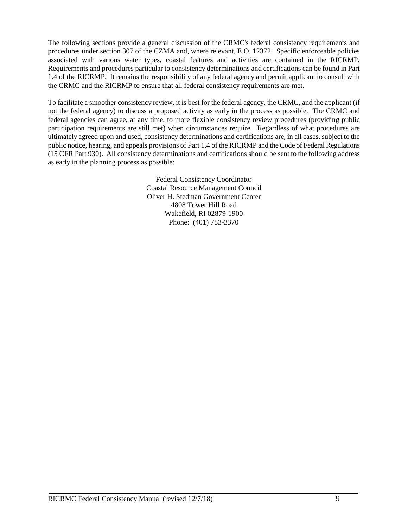The following sections provide a general discussion of the CRMC's federal consistency requirements and procedures under section 307 of the CZMA and, where relevant, E.O. 12372. Specific enforceable policies associated with various water types, coastal features and activities are contained in the RICRMP. Requirements and procedures particular to consistency determinations and certifications can be found in Part 1.4 of the RICRMP. It remains the responsibility of any federal agency and permit applicant to consult with the CRMC and the RICRMP to ensure that all federal consistency requirements are met.

To facilitate a smoother consistency review, it is best for the federal agency, the CRMC, and the applicant (if not the federal agency) to discuss a proposed activity as early in the process as possible. The CRMC and federal agencies can agree, at any time, to more flexible consistency review procedures (providing public participation requirements are still met) when circumstances require. Regardless of what procedures are ultimately agreed upon and used, consistency determinations and certifications are, in all cases, subject to the public notice, hearing, and appeals provisions of Part 1.4 of the RICRMP and the Code of Federal Regulations (15 CFR Part 930). All consistency determinations and certifications should be sent to the following address as early in the planning process as possible:

> Federal Consistency Coordinator Coastal Resource Management Council Oliver H. Stedman Government Center 4808 Tower Hill Road Wakefield, RI 02879-1900 Phone: (401) 783-3370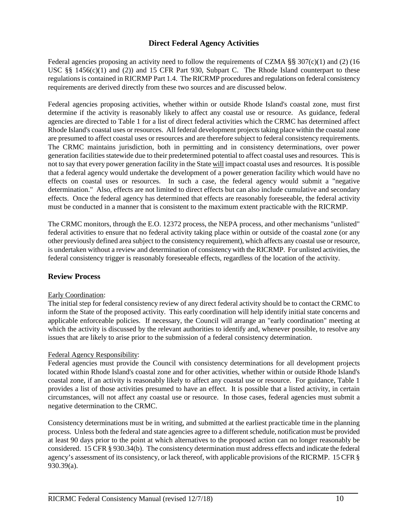## **Direct Federal Agency Activities**

Federal agencies proposing an activity need to follow the requirements of CZMA §§ 307(c)(1) and (2) (16 USC §§ 1456(c)(1) and (2)) and 15 CFR Part 930, Subpart C. The Rhode Island counterpart to these regulations is contained in RICRMP Part 1.4. The RICRMP procedures and regulations on federal consistency requirements are derived directly from these two sources and are discussed below.

Federal agencies proposing activities, whether within or outside Rhode Island's coastal zone, must first determine if the activity is reasonably likely to affect any coastal use or resource. As guidance, federal agencies are directed to Table 1 for a list of direct federal activities which the CRMC has determined affect Rhode Island's coastal uses or resources. All federal development projects taking place within the coastal zone are presumed to affect coastal uses or resources and are therefore subject to federal consistency requirements. The CRMC maintains jurisdiction, both in permitting and in consistency determinations, over power generation facilities statewide due to their predetermined potential to affect coastal uses and resources. This is not to say that every power generation facility in the State will impact coastal uses and resources. It is possible that a federal agency would undertake the development of a power generation facility which would have no effects on coastal uses or resources. In such a case, the federal agency would submit a "negative determination." Also, effects are not limited to direct effects but can also include cumulative and secondary effects. Once the federal agency has determined that effects are reasonably foreseeable, the federal activity must be conducted in a manner that is consistent to the maximum extent practicable with the RICRMP.

The CRMC monitors, through the E.O. 12372 process, the NEPA process, and other mechanisms "unlisted" federal activities to ensure that no federal activity taking place within or outside of the coastal zone (or any other previously defined area subject to the consistency requirement), which affects any coastal use or resource, is undertaken without a review and determination of consistency with the RICRMP. For unlisted activities, the federal consistency trigger is reasonably foreseeable effects, regardless of the location of the activity.

#### **Review Process**

#### Early Coordination:

The initial step for federal consistency review of any direct federal activity should be to contact the CRMC to inform the State of the proposed activity. This early coordination will help identify initial state concerns and applicable enforceable policies. If necessary, the Council will arrange an "early coordination" meeting at which the activity is discussed by the relevant authorities to identify and, whenever possible, to resolve any issues that are likely to arise prior to the submission of a federal consistency determination.

#### Federal Agency Responsibility:

Federal agencies must provide the Council with consistency determinations for all development projects located within Rhode Island's coastal zone and for other activities, whether within or outside Rhode Island's coastal zone, if an activity is reasonably likely to affect any coastal use or resource. For guidance, Table 1 provides a list of those activities presumed to have an effect. It is possible that a listed activity, in certain circumstances, will not affect any coastal use or resource. In those cases, federal agencies must submit a negative determination to the CRMC.

Consistency determinations must be in writing, and submitted at the earliest practicable time in the planning process. Unless both the federal and state agencies agree to a different schedule, notification must be provided at least 90 days prior to the point at which alternatives to the proposed action can no longer reasonably be considered. 15 CFR § 930.34(b). The consistency determination must address effects and indicate the federal agency's assessment of its consistency, or lack thereof, with applicable provisions of the RICRMP. 15 CFR § 930.39(a).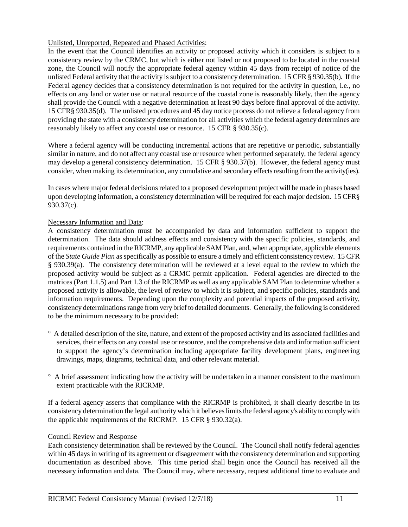#### Unlisted, Unreported, Repeated and Phased Activities:

In the event that the Council identifies an activity or proposed activity which it considers is subject to a consistency review by the CRMC, but which is either not listed or not proposed to be located in the coastal zone, the Council will notify the appropriate federal agency within 45 days from receipt of notice of the unlisted Federal activity that the activity is subject to a consistency determination. 15 CFR § 930.35(b). If the Federal agency decides that a consistency determination is not required for the activity in question, i.e., no effects on any land or water use or natural resource of the coastal zone is reasonably likely, then the agency shall provide the Council with a negative determination at least 90 days before final approval of the activity. 15 CFR§ 930.35(d). The unlisted procedures and 45 day notice process do not relieve a federal agency from providing the state with a consistency determination for all activities which the federal agency determines are reasonably likely to affect any coastal use or resource. 15 CFR § 930.35(c).

Where a federal agency will be conducting incremental actions that are repetitive or periodic, substantially similar in nature, and do not affect any coastal use or resource when performed separately, the federal agency may develop a general consistency determination. 15 CFR § 930.37(b). However, the federal agency must consider, when making its determination, any cumulative and secondary effects resulting from the activity(ies).

In cases where major federal decisions related to a proposed development project will be made in phases based upon developing information, a consistency determination will be required for each major decision. 15 CFR§ 930.37(c).

#### Necessary Information and Data:

A consistency determination must be accompanied by data and information sufficient to support the determination. The data should address effects and consistency with the specific policies, standards, and requirements contained in the RICRMP, any applicable SAM Plan, and, when appropriate, applicable elements of the *State Guide Plan* as specifically as possible to ensure a timely and efficient consistency review. 15 CFR § 930.39(a). The consistency determination will be reviewed at a level equal to the review to which the proposed activity would be subject as a CRMC permit application. Federal agencies are directed to the matrices (Part 1.1.5) and Part 1.3 of the RICRMP as well as any applicable SAM Plan to determine whether a proposed activity is allowable, the level of review to which it is subject, and specific policies, standards and information requirements. Depending upon the complexity and potential impacts of the proposed activity, consistency determinations range from very brief to detailed documents. Generally, the following is considered to be the minimum necessary to be provided:

- ° A detailed description of the site, nature, and extent of the proposed activity and its associated facilities and services, their effects on any coastal use or resource, and the comprehensive data and information sufficient to support the agency's determination including appropriate facility development plans, engineering drawings, maps, diagrams, technical data, and other relevant material.
- ° A brief assessment indicating how the activity will be undertaken in a manner consistent to the maximum extent practicable with the RICRMP.

If a federal agency asserts that compliance with the RICRMP is prohibited, it shall clearly describe in its consistency determination the legal authority which it believes limits the federal agency's ability to comply with the applicable requirements of the RICRMP. 15 CFR § 930.32(a).

#### Council Review and Response

Each consistency determination shall be reviewed by the Council. The Council shall notify federal agencies within 45 days in writing of its agreement or disagreement with the consistency determination and supporting documentation as described above. This time period shall begin once the Council has received all the necessary information and data. The Council may, where necessary, request additional time to evaluate and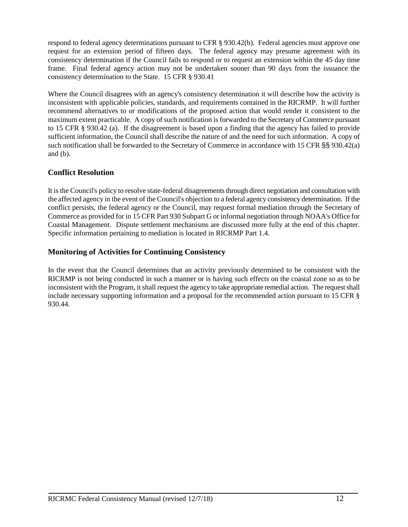respond to federal agency determinations pursuant to CFR § 930.42(b). Federal agencies must approve one request for an extension period of fifteen days. The federal agency may presume agreement with its consistency determination if the Council fails to respond or to request an extension within the 45 day time frame. Final federal agency action may not be undertaken sooner than 90 days from the issuance the consistency determination to the State. 15 CFR § 930.41

Where the Council disagrees with an agency's consistency determination it will describe how the activity is inconsistent with applicable policies, standards, and requirements contained in the RICRMP. It will further recommend alternatives to or modifications of the proposed action that would render it consistent to the maximum extent practicable. A copy of such notification is forwarded to the Secretary of Commerce pursuant to 15 CFR § 930.42 (a). If the disagreement is based upon a finding that the agency has failed to provide sufficient information, the Council shall describe the nature of and the need for such information. A copy of such notification shall be forwarded to the Secretary of Commerce in accordance with 15 CFR §§ 930.42(a) and (b).

## **Conflict Resolution**

It is the Council's policy to resolve state-federal disagreements through direct negotiation and consultation with the affected agency in the event of the Council's objection to a federal agency consistency determination. If the conflict persists, the federal agency or the Council, may request formal mediation through the Secretary of Commerce as provided for in 15 CFR Part 930 Subpart G or informal negotiation through NOAA's Office for Coastal Management. Dispute settlement mechanisms are discussed more fully at the end of this chapter. Specific information pertaining to mediation is located in RICRMP Part 1.4.

## **Monitoring of Activities for Continuing Consistency**

In the event that the Council determines that an activity previously determined to be consistent with the RICRMP is not being conducted in such a manner or is having such effects on the coastal zone so as to be inconsistent with the Program, it shall request the agency to take appropriate remedial action. The request shall include necessary supporting information and a proposal for the recommended action pursuant to 15 CFR § 930.44.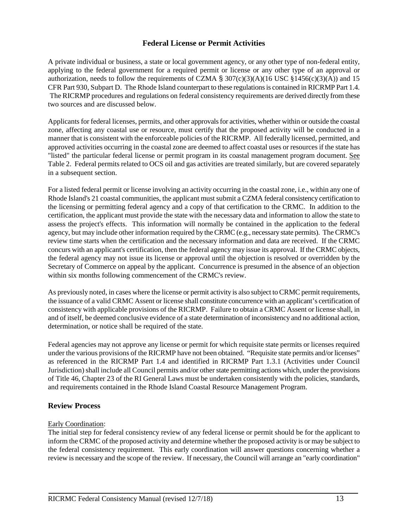#### **Federal License or Permit Activities**

A private individual or business, a state or local government agency, or any other type of non-federal entity, applying to the federal government for a required permit or license or any other type of an approval or authorization, needs to follow the requirements of CZMA § 307(c)(3)(A)(16 USC §1456(c)(3)(A)) and 15 CFR Part 930, Subpart D. The Rhode Island counterpart to these regulations is contained in RICRMP Part 1.4. The RICRMP procedures and regulations on federal consistency requirements are derived directly from these two sources and are discussed below.

Applicants for federal licenses, permits, and other approvals for activities, whether within or outside the coastal zone, affecting any coastal use or resource, must certify that the proposed activity will be conducted in a manner that is consistent with the enforceable policies of the RICRMP. All federally licensed, permitted, and approved activities occurring in the coastal zone are deemed to affect coastal uses or resources if the state has "listed" the particular federal license or permit program in its coastal management program document. See Table 2. Federal permits related to OCS oil and gas activities are treated similarly, but are covered separately in a subsequent section.

For a listed federal permit or license involving an activity occurring in the coastal zone, i.e., within any one of Rhode Island's 21 coastal communities, the applicant must submit a CZMA federal consistency certification to the licensing or permitting federal agency and a copy of that certification to the CRMC. In addition to the certification, the applicant must provide the state with the necessary data and information to allow the state to assess the project's effects. This information will normally be contained in the application to the federal agency, but may include other information required by the CRMC (e.g., necessary state permits). The CRMC's review time starts when the certification and the necessary information and data are received. If the CRMC concurs with an applicant's certification, then the federal agency may issue its approval. If the CRMC objects, the federal agency may not issue its license or approval until the objection is resolved or overridden by the Secretary of Commerce on appeal by the applicant. Concurrence is presumed in the absence of an objection within six months following commencement of the CRMC's review.

As previously noted, in cases where the license or permit activity is also subject to CRMC permit requirements, the issuance of a valid CRMC Assent or license shall constitute concurrence with an applicant's certification of consistency with applicable provisions of the RICRMP. Failure to obtain a CRMC Assent or license shall, in and of itself, be deemed conclusive evidence of a state determination of inconsistency and no additional action, determination, or notice shall be required of the state.

Federal agencies may not approve any license or permit for which requisite state permits or licenses required under the various provisions of the RICRMP have not been obtained. "Requisite state permits and/or licenses" as referenced in the RICRMP Part 1.4 and identified in RICRMP Part 1.3.1 (Activities under Council Jurisdiction) shall include all Council permits and/or other state permitting actions which, under the provisions of Title 46, Chapter 23 of the RI General Laws must be undertaken consistently with the policies, standards, and requirements contained in the Rhode Island Coastal Resource Management Program.

#### **Review Process**

#### Early Coordination:

The initial step for federal consistency review of any federal license or permit should be for the applicant to inform the CRMC of the proposed activity and determine whether the proposed activity is or may be subject to the federal consistency requirement. This early coordination will answer questions concerning whether a review is necessary and the scope of the review. If necessary, the Council will arrange an "early coordination"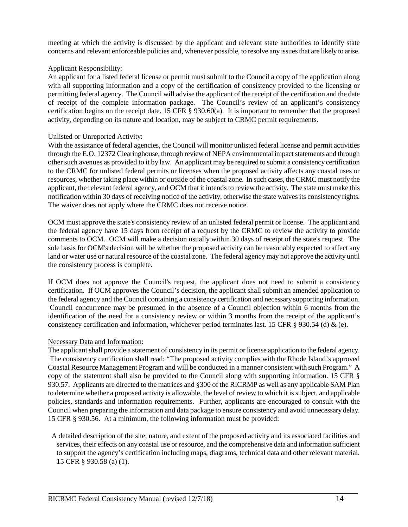meeting at which the activity is discussed by the applicant and relevant state authorities to identify state concerns and relevant enforceable policies and, whenever possible, to resolve any issues that are likely to arise.

#### Applicant Responsibility:

An applicant for a listed federal license or permit must submit to the Council a copy of the application along with all supporting information and a copy of the certification of consistency provided to the licensing or permitting federal agency. The Council will advise the applicant of the receipt of the certification and the date of receipt of the complete information package. The Council's review of an applicant's consistency certification begins on the receipt date. 15 CFR § 930.60(a). It is important to remember that the proposed activity, depending on its nature and location, may be subject to CRMC permit requirements.

#### Unlisted or Unreported Activity:

With the assistance of federal agencies, the Council will monitor unlisted federal license and permit activities through the E.O. 12372 Clearinghouse, through review of NEPA environmental impact statements and through other such avenues as provided to it by law. An applicant may be required to submit a consistency certification to the CRMC for unlisted federal permits or licenses when the proposed activity affects any coastal uses or resources, whether taking place within or outside of the coastal zone. In such cases, the CRMC must notify the applicant, the relevant federal agency, and OCM that it intends to review the activity. The state must make this notification within 30 days of receiving notice of the activity, otherwise the state waives its consistency rights. The waiver does not apply where the CRMC does not receive notice.

OCM must approve the state's consistency review of an unlisted federal permit or license. The applicant and the federal agency have 15 days from receipt of a request by the CRMC to review the activity to provide comments to OCM. OCM will make a decision usually within 30 days of receipt of the state's request. The sole basis for OCM's decision will be whether the proposed activity can be reasonably expected to affect any land or water use or natural resource of the coastal zone. The federal agency may not approve the activity until the consistency process is complete.

If OCM does not approve the Council's request, the applicant does not need to submit a consistency certification. If OCM approves the Council's decision, the applicant shall submit an amended application to the federal agency and the Council containing a consistency certification and necessary supporting information. Council concurrence may be presumed in the absence of a Council objection within 6 months from the identification of the need for a consistency review or within 3 months from the receipt of the applicant's consistency certification and information, whichever period terminates last. 15 CFR § 930.54 (d)  $\&$  (e).

#### Necessary Data and Information:

The applicant shall provide a statement of consistency in its permit or license application to the federal agency. The consistency certification shall read: "The proposed activity complies with the Rhode Island's approved Coastal Resource Management Program and will be conducted in a manner consistent with such Program." A copy of the statement shall also be provided to the Council along with supporting information. 15 CFR § 930.57. Applicants are directed to the matrices and §300 of the RICRMP as well as any applicable SAM Plan to determine whether a proposed activity is allowable, the level of review to which it is subject, and applicable policies, standards and information requirements. Further, applicants are encouraged to consult with the Council when preparing the information and data package to ensure consistency and avoid unnecessary delay. 15 CFR § 930.56. At a minimum, the following information must be provided:

 A detailed description of the site, nature, and extent of the proposed activity and its associated facilities and services, their effects on any coastal use or resource, and the comprehensive data and information sufficient to support the agency's certification including maps, diagrams, technical data and other relevant material. 15 CFR § 930.58 (a) (1).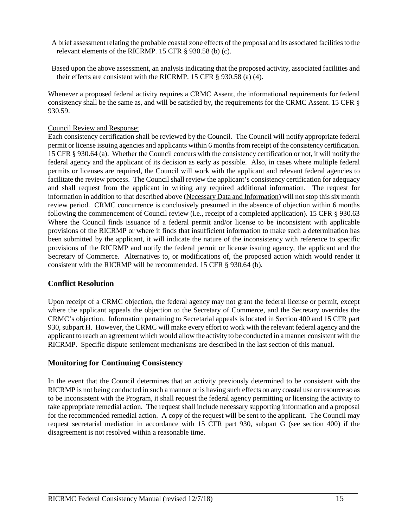- A brief assessment relating the probable coastal zone effects of the proposal and its associated facilities to the relevant elements of the RICRMP. 15 CFR § 930.58 (b) (c).
- Based upon the above assessment, an analysis indicating that the proposed activity, associated facilities and their effects are consistent with the RICRMP. 15 CFR § 930.58 (a) (4).

Whenever a proposed federal activity requires a CRMC Assent, the informational requirements for federal consistency shall be the same as, and will be satisfied by, the requirements for the CRMC Assent. 15 CFR § 930.59.

#### Council Review and Response:

Each consistency certification shall be reviewed by the Council. The Council will notify appropriate federal permit or license issuing agencies and applicants within 6 months from receipt of the consistency certification. 15 CFR § 930.64 (a). Whether the Council concurs with the consistency certification or not, it will notify the federal agency and the applicant of its decision as early as possible. Also, in cases where multiple federal permits or licenses are required, the Council will work with the applicant and relevant federal agencies to facilitate the review process. The Council shall review the applicant's consistency certification for adequacy and shall request from the applicant in writing any required additional information. The request for information in addition to that described above (Necessary Data and Information) will not stop this six month review period. CRMC concurrence is conclusively presumed in the absence of objection within 6 months following the commencement of Council review (i.e., receipt of a completed application). 15 CFR § 930.63 Where the Council finds issuance of a federal permit and/or license to be inconsistent with applicable provisions of the RICRMP or where it finds that insufficient information to make such a determination has been submitted by the applicant, it will indicate the nature of the inconsistency with reference to specific provisions of the RICRMP and notify the federal permit or license issuing agency, the applicant and the Secretary of Commerce. Alternatives to, or modifications of, the proposed action which would render it consistent with the RICRMP will be recommended. 15 CFR § 930.64 (b).

## **Conflict Resolution**

Upon receipt of a CRMC objection, the federal agency may not grant the federal license or permit, except where the applicant appeals the objection to the Secretary of Commerce, and the Secretary overrides the CRMC's objection. Information pertaining to Secretarial appeals is located in Section 400 and 15 CFR part 930, subpart H. However, the CRMC will make every effort to work with the relevant federal agency and the applicant to reach an agreement which would allow the activity to be conducted in a manner consistent with the RICRMP. Specific dispute settlement mechanisms are described in the last section of this manual.

## **Monitoring for Continuing Consistency**

In the event that the Council determines that an activity previously determined to be consistent with the RICRMP is not being conducted in such a manner or is having such effects on any coastal use or resource so as to be inconsistent with the Program, it shall request the federal agency permitting or licensing the activity to take appropriate remedial action. The request shall include necessary supporting information and a proposal for the recommended remedial action. A copy of the request will be sent to the applicant. The Council may request secretarial mediation in accordance with 15 CFR part 930, subpart G (see section 400) if the disagreement is not resolved within a reasonable time.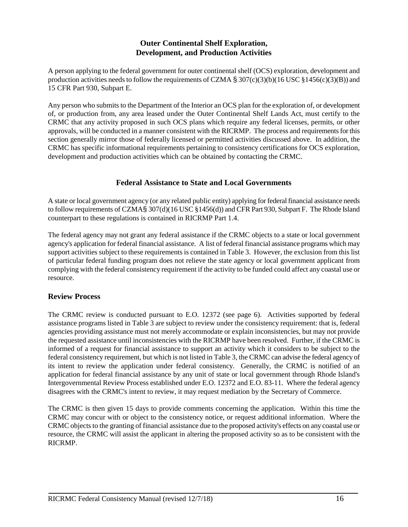## **Outer Continental Shelf Exploration, Development, and Production Activities**

A person applying to the federal government for outer continental shelf (OCS) exploration, development and production activities needs to follow the requirements of CZMA  $\S 307(c)(3)(b)(16$  USC  $\S 1456(c)(3)(B)$ ) and 15 CFR Part 930, Subpart E.

Any person who submits to the Department of the Interior an OCS plan for the exploration of, or development of, or production from, any area leased under the Outer Continental Shelf Lands Act, must certify to the CRMC that any activity proposed in such OCS plans which require any federal licenses, permits, or other approvals, will be conducted in a manner consistent with the RICRMP. The process and requirements for this section generally mirror those of federally licensed or permitted activities discussed above. In addition, the CRMC has specific informational requirements pertaining to consistency certifications for OCS exploration, development and production activities which can be obtained by contacting the CRMC.

#### **Federal Assistance to State and Local Governments**

A state or local government agency (or any related public entity) applying for federal financial assistance needs to follow requirements of CZMA§ 307(d)(16 USC §1456(d)) and CFR Part 930, Subpart F. The Rhode Island counterpart to these regulations is contained in RICRMP Part 1.4.

The federal agency may not grant any federal assistance if the CRMC objects to a state or local government agency's application for federal financial assistance. A list of federal financial assistance programs which may support activities subject to these requirements is contained in Table 3. However, the exclusion from this list of particular federal funding program does not relieve the state agency or local government applicant from complying with the federal consistency requirement if the activity to be funded could affect any coastal use or resource.

#### **Review Process**

The CRMC review is conducted pursuant to E.O. 12372 (see page 6). Activities supported by federal assistance programs listed in Table 3 are subject to review under the consistency requirement: that is, federal agencies providing assistance must not merely accommodate or explain inconsistencies, but may not provide the requested assistance until inconsistencies with the RICRMP have been resolved. Further, if the CRMC is informed of a request for financial assistance to support an activity which it considers to be subject to the federal consistency requirement, but which is not listed in Table 3, the CRMC can advise the federal agency of its intent to review the application under federal consistency. Generally, the CRMC is notified of an application for federal financial assistance by any unit of state or local government through Rhode Island's Intergovernmental Review Process established under E.O. 12372 and E.O. 83-11. Where the federal agency disagrees with the CRMC's intent to review, it may request mediation by the Secretary of Commerce.

The CRMC is then given 15 days to provide comments concerning the application. Within this time the CRMC may concur with or object to the consistency notice, or request additional information. Where the CRMC objects to the granting of financial assistance due to the proposed activity's effects on any coastal use or resource, the CRMC will assist the applicant in altering the proposed activity so as to be consistent with the RICRMP.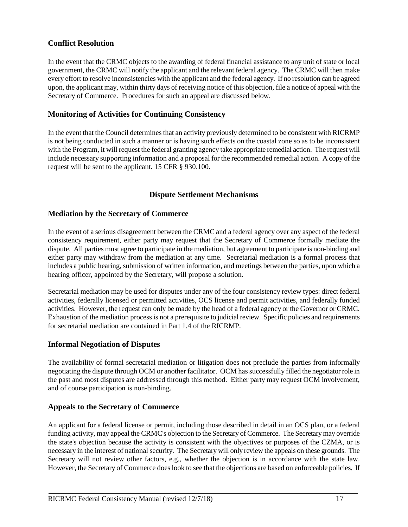## **Conflict Resolution**

In the event that the CRMC objects to the awarding of federal financial assistance to any unit of state or local government, the CRMC will notify the applicant and the relevant federal agency. The CRMC will then make every effort to resolve inconsistencies with the applicant and the federal agency. If no resolution can be agreed upon, the applicant may, within thirty days of receiving notice of this objection, file a notice of appeal with the Secretary of Commerce. Procedures for such an appeal are discussed below.

#### **Monitoring of Activities for Continuing Consistency**

In the event that the Council determines that an activity previously determined to be consistent with RICRMP is not being conducted in such a manner or is having such effects on the coastal zone so as to be inconsistent with the Program, it will request the federal granting agency take appropriate remedial action. The request will include necessary supporting information and a proposal for the recommended remedial action. A copy of the request will be sent to the applicant. 15 CFR § 930.100.

#### **Dispute Settlement Mechanisms**

#### **Mediation by the Secretary of Commerce**

In the event of a serious disagreement between the CRMC and a federal agency over any aspect of the federal consistency requirement, either party may request that the Secretary of Commerce formally mediate the dispute. All parties must agree to participate in the mediation, but agreement to participate is non-binding and either party may withdraw from the mediation at any time. Secretarial mediation is a formal process that includes a public hearing, submission of written information, and meetings between the parties, upon which a hearing officer, appointed by the Secretary, will propose a solution.

Secretarial mediation may be used for disputes under any of the four consistency review types: direct federal activities, federally licensed or permitted activities, OCS license and permit activities, and federally funded activities. However, the request can only be made by the head of a federal agency or the Governor or CRMC. Exhaustion of the mediation process is not a prerequisite to judicial review. Specific policies and requirements for secretarial mediation are contained in Part 1.4 of the RICRMP.

#### **Informal Negotiation of Disputes**

The availability of formal secretarial mediation or litigation does not preclude the parties from informally negotiating the dispute through OCM or another facilitator. OCM has successfully filled the negotiator role in the past and most disputes are addressed through this method. Either party may request OCM involvement, and of course participation is non-binding.

#### **Appeals to the Secretary of Commerce**

An applicant for a federal license or permit, including those described in detail in an OCS plan, or a federal funding activity, may appeal the CRMC's objection to the Secretary of Commerce. The Secretary may override the state's objection because the activity is consistent with the objectives or purposes of the CZMA, or is necessary in the interest of national security. The Secretary will only review the appeals on these grounds. The Secretary will not review other factors, e.g., whether the objection is in accordance with the state law. However, the Secretary of Commerce does look to see that the objections are based on enforceable policies. If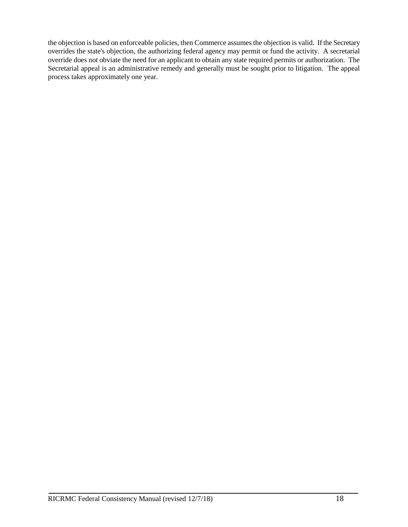the objection is based on enforceable policies, then Commerce assumes the objection is valid. If the Secretary overrides the state's objection, the authorizing federal agency may permit or fund the activity. A secretarial override does not obviate the need for an applicant to obtain any state required permits or authorization. The Secretarial appeal is an administrative remedy and generally must be sought prior to litigation. The appeal process takes approximately one year.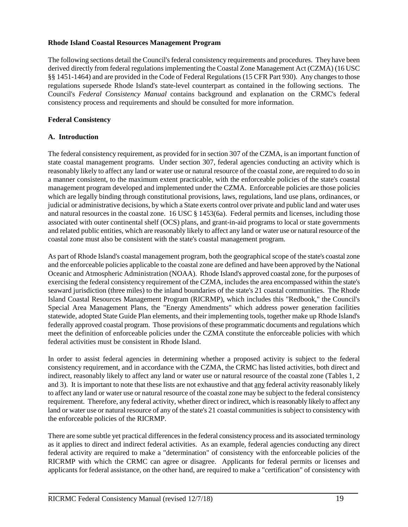#### **Rhode Island Coastal Resources Management Program**

The following sections detail the Council's federal consistency requirements and procedures. They have been derived directly from federal regulations implementing the Coastal Zone Management Act (CZMA) (16 USC §§ 1451-1464) and are provided in the Code of Federal Regulations (15 CFR Part 930). Any changes to those regulations supersede Rhode Island's state-level counterpart as contained in the following sections. The Council's *Federal Consistency Manual* contains background and explanation on the CRMC's federal consistency process and requirements and should be consulted for more information.

#### **Federal Consistency**

#### **A. Introduction**

The federal consistency requirement, as provided for in section 307 of the CZMA, is an important function of state coastal management programs. Under section 307, federal agencies conducting an activity which is reasonably likely to affect any land or water use or natural resource of the coastal zone, are required to do so in a manner consistent, to the maximum extent practicable, with the enforceable policies of the state's coastal management program developed and implemented under the CZMA. Enforceable policies are those policies which are legally binding through constitutional provisions, laws, regulations, land use plans, ordinances, or judicial or administrative decisions, by which a State exerts control over private and public land and water uses and natural resources in the coastal zone. 16 USC § 1453(6a). Federal permits and licenses, including those associated with outer continental shelf (OCS) plans, and grant-in-aid programs to local or state governments and related public entities, which are reasonably likely to affect any land or water use or natural resource of the coastal zone must also be consistent with the state's coastal management program.

As part of Rhode Island's coastal management program, both the geographical scope of the state's coastal zone and the enforceable policies applicable to the coastal zone are defined and have been approved by the National Oceanic and Atmospheric Administration (NOAA). Rhode Island's approved coastal zone, for the purposes of exercising the federal consistency requirement of the CZMA, includes the area encompassed within the state's seaward jurisdiction (three miles) to the inland boundaries of the state's 21 coastal communities. The Rhode Island Coastal Resources Management Program (RICRMP), which includes this "Redbook," the Council's Special Area Management Plans, the "Energy Amendments" which address power generation facilities statewide, adopted State Guide Plan elements, and their implementing tools, together make up Rhode Island's federally approved coastal program. Those provisions of these programmatic documents and regulations which meet the definition of enforceable policies under the CZMA constitute the enforceable policies with which federal activities must be consistent in Rhode Island.

In order to assist federal agencies in determining whether a proposed activity is subject to the federal consistency requirement, and in accordance with the CZMA, the CRMC has listed activities, both direct and indirect, reasonably likely to affect any land or water use or natural resource of the coastal zone (Tables 1, 2 and 3). It is important to note that these lists are not exhaustive and that any federal activity reasonably likely to affect any land or water use or natural resource of the coastal zone may be subject to the federal consistency requirement. Therefore, any federal activity, whether direct or indirect, which is reasonably likely to affect any land or water use or natural resource of any of the state's 21 coastal communities is subject to consistency with the enforceable policies of the RICRMP.

There are some subtle yet practical differences in the federal consistency process and its associated terminology as it applies to direct and indirect federal activities. As an example, federal agencies conducting any direct federal activity are required to make a "determination" of consistency with the enforceable policies of the RICRMP with which the CRMC can agree or disagree. Applicants for federal permits or licenses and applicants for federal assistance, on the other hand, are required to make a "certification" of consistency with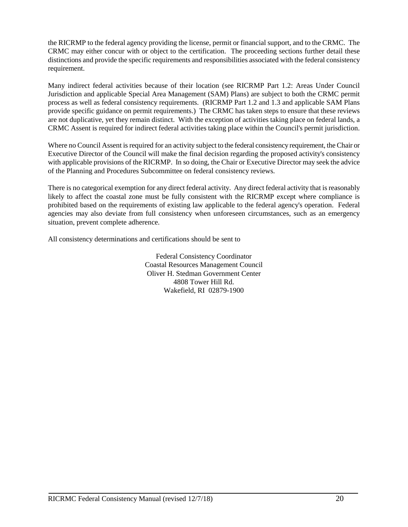the RICRMP to the federal agency providing the license, permit or financial support, and to the CRMC. The CRMC may either concur with or object to the certification. The proceeding sections further detail these distinctions and provide the specific requirements and responsibilities associated with the federal consistency requirement.

Many indirect federal activities because of their location (see RICRMP Part 1.2: Areas Under Council Jurisdiction and applicable Special Area Management (SAM) Plans) are subject to both the CRMC permit process as well as federal consistency requirements. (RICRMP Part 1.2 and 1.3 and applicable SAM Plans provide specific guidance on permit requirements.) The CRMC has taken steps to ensure that these reviews are not duplicative, yet they remain distinct. With the exception of activities taking place on federal lands, a CRMC Assent is required for indirect federal activities taking place within the Council's permit jurisdiction.

Where no Council Assent is required for an activity subject to the federal consistency requirement, the Chair or Executive Director of the Council will make the final decision regarding the proposed activity's consistency with applicable provisions of the RICRMP. In so doing, the Chair or Executive Director may seek the advice of the Planning and Procedures Subcommittee on federal consistency reviews.

There is no categorical exemption for any direct federal activity. Any direct federal activity that is reasonably likely to affect the coastal zone must be fully consistent with the RICRMP except where compliance is prohibited based on the requirements of existing law applicable to the federal agency's operation. Federal agencies may also deviate from full consistency when unforeseen circumstances, such as an emergency situation, prevent complete adherence.

All consistency determinations and certifications should be sent to

Federal Consistency Coordinator Coastal Resources Management Council Oliver H. Stedman Government Center 4808 Tower Hill Rd. Wakefield, RI 02879-1900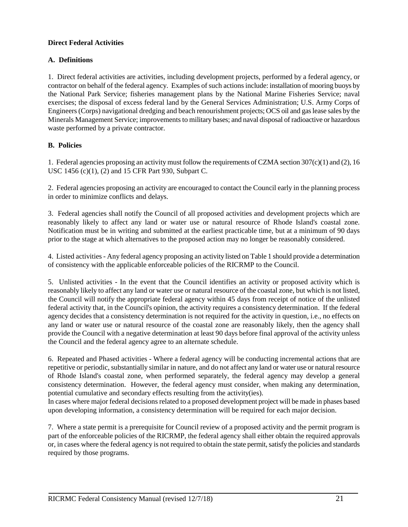#### **Direct Federal Activities**

#### **A. Definitions**

1. Direct federal activities are activities, including development projects, performed by a federal agency, or contractor on behalf of the federal agency. Examples of such actions include: installation of mooring buoys by the National Park Service; fisheries management plans by the National Marine Fisheries Service; naval exercises; the disposal of excess federal land by the General Services Administration; U.S. Army Corps of Engineers (Corps) navigational dredging and beach renourishment projects; OCS oil and gas lease sales by the Minerals Management Service; improvements to military bases; and naval disposal of radioactive or hazardous waste performed by a private contractor.

#### **B. Policies**

1. Federal agencies proposing an activity must follow the requirements of CZMA section  $307(c)(1)$  and (2), 16 USC 1456 (c)(1), (2) and 15 CFR Part 930, Subpart C.

2. Federal agencies proposing an activity are encouraged to contact the Council early in the planning process in order to minimize conflicts and delays.

3. Federal agencies shall notify the Council of all proposed activities and development projects which are reasonably likely to affect any land or water use or natural resource of Rhode Island's coastal zone. Notification must be in writing and submitted at the earliest practicable time, but at a minimum of 90 days prior to the stage at which alternatives to the proposed action may no longer be reasonably considered.

4. Listed activities - Any federal agency proposing an activity listed on Table 1 should provide a determination of consistency with the applicable enforceable policies of the RICRMP to the Council.

5. Unlisted activities - In the event that the Council identifies an activity or proposed activity which is reasonably likely to affect any land or water use or natural resource of the coastal zone, but which is not listed, the Council will notify the appropriate federal agency within 45 days from receipt of notice of the unlisted federal activity that, in the Council's opinion, the activity requires a consistency determination. If the federal agency decides that a consistency determination is not required for the activity in question, i.e., no effects on any land or water use or natural resource of the coastal zone are reasonably likely, then the agency shall provide the Council with a negative determination at least 90 days before final approval of the activity unless the Council and the federal agency agree to an alternate schedule.

6. Repeated and Phased activities - Where a federal agency will be conducting incremental actions that are repetitive or periodic, substantially similar in nature, and do not affect any land or water use or natural resource of Rhode Island's coastal zone, when performed separately, the federal agency may develop a general consistency determination. However, the federal agency must consider, when making any determination, potential cumulative and secondary effects resulting from the activity(ies).

In cases where major federal decisions related to a proposed development project will be made in phases based upon developing information, a consistency determination will be required for each major decision.

7. Where a state permit is a prerequisite for Council review of a proposed activity and the permit program is part of the enforceable policies of the RICRMP, the federal agency shall either obtain the required approvals or, in cases where the federal agency is not required to obtain the state permit, satisfy the policies and standards required by those programs.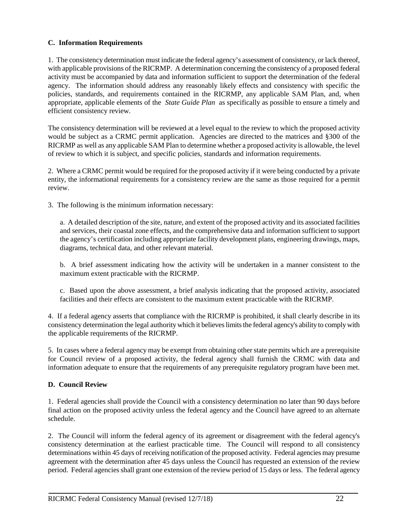#### **C. Information Requirements**

1. The consistency determination must indicate the federal agency's assessment of consistency, or lack thereof, with applicable provisions of the RICRMP. A determination concerning the consistency of a proposed federal activity must be accompanied by data and information sufficient to support the determination of the federal agency. The information should address any reasonably likely effects and consistency with specific the policies, standards, and requirements contained in the RICRMP, any applicable SAM Plan, and, when appropriate, applicable elements of the *State Guide Plan* as specifically as possible to ensure a timely and efficient consistency review.

The consistency determination will be reviewed at a level equal to the review to which the proposed activity would be subject as a CRMC permit application. Agencies are directed to the matrices and §300 of the RICRMP as well as any applicable SAM Plan to determine whether a proposed activity is allowable, the level of review to which it is subject, and specific policies, standards and information requirements.

2. Where a CRMC permit would be required for the proposed activity if it were being conducted by a private entity, the informational requirements for a consistency review are the same as those required for a permit review.

3. The following is the minimum information necessary:

a. A detailed description of the site, nature, and extent of the proposed activity and its associated facilities and services, their coastal zone effects, and the comprehensive data and information sufficient to support the agency's certification including appropriate facility development plans, engineering drawings, maps, diagrams, technical data, and other relevant material.

b. A brief assessment indicating how the activity will be undertaken in a manner consistent to the maximum extent practicable with the RICRMP.

c. Based upon the above assessment, a brief analysis indicating that the proposed activity, associated facilities and their effects are consistent to the maximum extent practicable with the RICRMP.

4. If a federal agency asserts that compliance with the RICRMP is prohibited, it shall clearly describe in its consistency determination the legal authority which it believes limits the federal agency's ability to comply with the applicable requirements of the RICRMP.

5. In cases where a federal agency may be exempt from obtaining other state permits which are a prerequisite for Council review of a proposed activity, the federal agency shall furnish the CRMC with data and information adequate to ensure that the requirements of any prerequisite regulatory program have been met.

#### **D. Council Review**

1. Federal agencies shall provide the Council with a consistency determination no later than 90 days before final action on the proposed activity unless the federal agency and the Council have agreed to an alternate schedule.

2. The Council will inform the federal agency of its agreement or disagreement with the federal agency's consistency determination at the earliest practicable time. The Council will respond to all consistency determinations within 45 days of receiving notification of the proposed activity. Federal agencies may presume agreement with the determination after 45 days unless the Council has requested an extension of the review period. Federal agencies shall grant one extension of the review period of 15 days or less. The federal agency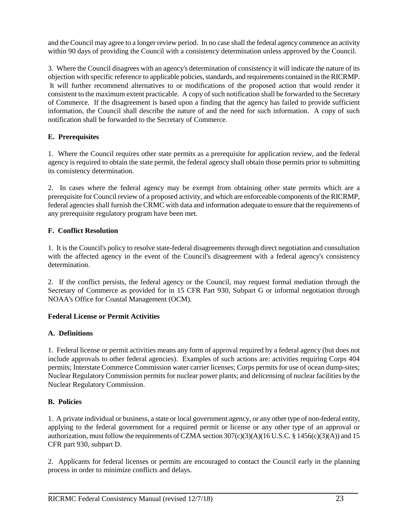and the Council may agree to a longer review period. In no case shall the federal agency commence an activity within 90 days of providing the Council with a consistency determination unless approved by the Council.

3. Where the Council disagrees with an agency's determination of consistency it will indicate the nature of its objection with specific reference to applicable policies, standards, and requirements contained in the RICRMP. It will further recommend alternatives to or modifications of the proposed action that would render it consistent to the maximum extent practicable. A copy of such notification shall be forwarded to the Secretary of Commerce. If the disagreement is based upon a finding that the agency has failed to provide sufficient information, the Council shall describe the nature of and the need for such information. A copy of such notification shall be forwarded to the Secretary of Commerce.

## **E. Prerequisites**

1. Where the Council requires other state permits as a prerequisite for application review, and the federal agency is required to obtain the state permit, the federal agency shall obtain those permits prior to submitting its consistency determination.

2. In cases where the federal agency may be exempt from obtaining other state permits which are a prerequisite for Council review of a proposed activity, and which are enforceable components of the RICRMP, federal agencies shall furnish the CRMC with data and information adequate to ensure that the requirements of any prerequisite regulatory program have been met.

#### **F. Conflict Resolution**

1. It is the Council's policy to resolve state-federal disagreements through direct negotiation and consultation with the affected agency in the event of the Council's disagreement with a federal agency's consistency determination.

2. If the conflict persists, the federal agency or the Council, may request formal mediation through the Secretary of Commerce as provided for in 15 CFR Part 930, Subpart G or informal negotiation through NOAA's Office for Coastal Management (OCM).

#### **Federal License or Permit Activities**

#### **A. Definitions**

1. Federal license or permit activities means any form of approval required by a federal agency (but does not include approvals to other federal agencies). Examples of such actions are: activities requiring Corps 404 permits; Interstate Commerce Commission water carrier licenses; Corps permits for use of ocean dump-sites; Nuclear Regulatory Commission permits for nuclear power plants; and delicensing of nuclear facilities by the Nuclear Regulatory Commission.

#### **B. Policies**

1. A private individual or business, a state or local government agency, or any other type of non-federal entity, applying to the federal government for a required permit or license or any other type of an approval or authorization, must follow the requirements of CZMA section 307(c)(3)(A)(16 U.S.C. § 1456(c)(3)(A)) and 15 CFR part 930, subpart D.

2. Applicants for federal licenses or permits are encouraged to contact the Council early in the planning process in order to minimize conflicts and delays.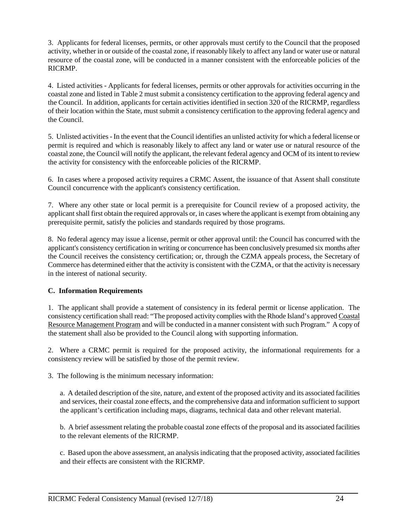3. Applicants for federal licenses, permits, or other approvals must certify to the Council that the proposed activity, whether in or outside of the coastal zone, if reasonably likely to affect any land or water use or natural resource of the coastal zone, will be conducted in a manner consistent with the enforceable policies of the RICRMP.

4. Listed activities - Applicants for federal licenses, permits or other approvals for activities occurring in the coastal zone and listed in Table 2 must submit a consistency certification to the approving federal agency and the Council. In addition, applicants for certain activities identified in section 320 of the RICRMP, regardless of their location within the State, must submit a consistency certification to the approving federal agency and the Council.

5. Unlisted activities - In the event that the Council identifies an unlisted activity for which a federal license or permit is required and which is reasonably likely to affect any land or water use or natural resource of the coastal zone, the Council will notify the applicant, the relevant federal agency and OCM of its intent to review the activity for consistency with the enforceable policies of the RICRMP.

6. In cases where a proposed activity requires a CRMC Assent, the issuance of that Assent shall constitute Council concurrence with the applicant's consistency certification.

7. Where any other state or local permit is a prerequisite for Council review of a proposed activity, the applicant shall first obtain the required approvals or, in cases where the applicant is exempt from obtaining any prerequisite permit, satisfy the policies and standards required by those programs.

8. No federal agency may issue a license, permit or other approval until: the Council has concurred with the applicant's consistency certification in writing or concurrence has been conclusively presumed six months after the Council receives the consistency certification; or, through the CZMA appeals process, the Secretary of Commerce has determined either that the activity is consistent with the CZMA, or that the activity is necessary in the interest of national security.

#### **C. Information Requirements**

1. The applicant shall provide a statement of consistency in its federal permit or license application. The consistency certification shall read: "The proposed activity complies with the Rhode Island's approved Coastal Resource Management Program and will be conducted in a manner consistent with such Program." A copy of the statement shall also be provided to the Council along with supporting information.

2. Where a CRMC permit is required for the proposed activity, the informational requirements for a consistency review will be satisfied by those of the permit review.

3. The following is the minimum necessary information:

a. A detailed description of the site, nature, and extent of the proposed activity and its associated facilities and services, their coastal zone effects, and the comprehensive data and information sufficient to support the applicant's certification including maps, diagrams, technical data and other relevant material.

b. A brief assessment relating the probable coastal zone effects of the proposal and its associated facilities to the relevant elements of the RICRMP.

c. Based upon the above assessment, an analysis indicating that the proposed activity, associated facilities and their effects are consistent with the RICRMP.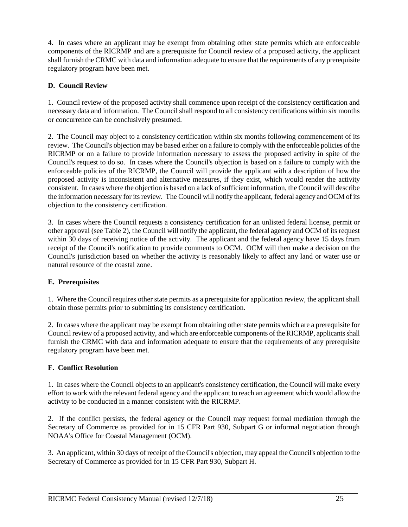4. In cases where an applicant may be exempt from obtaining other state permits which are enforceable components of the RICRMP and are a prerequisite for Council review of a proposed activity, the applicant shall furnish the CRMC with data and information adequate to ensure that the requirements of any prerequisite regulatory program have been met.

#### **D. Council Review**

1. Council review of the proposed activity shall commence upon receipt of the consistency certification and necessary data and information. The Council shall respond to all consistency certifications within six months or concurrence can be conclusively presumed.

2. The Council may object to a consistency certification within six months following commencement of its review. The Council's objection may be based either on a failure to comply with the enforceable policies of the RICRMP or on a failure to provide information necessary to assess the proposed activity in spite of the Council's request to do so. In cases where the Council's objection is based on a failure to comply with the enforceable policies of the RICRMP, the Council will provide the applicant with a description of how the proposed activity is inconsistent and alternative measures, if they exist, which would render the activity consistent. In cases where the objection is based on a lack of sufficient information, the Council will describe the information necessary for its review. The Council will notify the applicant, federal agency and OCM of its objection to the consistency certification.

3. In cases where the Council requests a consistency certification for an unlisted federal license, permit or other approval (see Table 2), the Council will notify the applicant, the federal agency and OCM of its request within 30 days of receiving notice of the activity. The applicant and the federal agency have 15 days from receipt of the Council's notification to provide comments to OCM. OCM will then make a decision on the Council's jurisdiction based on whether the activity is reasonably likely to affect any land or water use or natural resource of the coastal zone.

#### **E. Prerequisites**

1. Where the Council requires other state permits as a prerequisite for application review, the applicant shall obtain those permits prior to submitting its consistency certification.

2. In cases where the applicant may be exempt from obtaining other state permits which are a prerequisite for Council review of a proposed activity, and which are enforceable components of the RICRMP, applicants shall furnish the CRMC with data and information adequate to ensure that the requirements of any prerequisite regulatory program have been met.

#### **F. Conflict Resolution**

1. In cases where the Council objects to an applicant's consistency certification, the Council will make every effort to work with the relevant federal agency and the applicant to reach an agreement which would allow the activity to be conducted in a manner consistent with the RICRMP.

2. If the conflict persists, the federal agency or the Council may request formal mediation through the Secretary of Commerce as provided for in 15 CFR Part 930, Subpart G or informal negotiation through NOAA's Office for Coastal Management (OCM).

3. An applicant, within 30 days of receipt of the Council's objection, may appeal the Council's objection to the Secretary of Commerce as provided for in 15 CFR Part 930, Subpart H.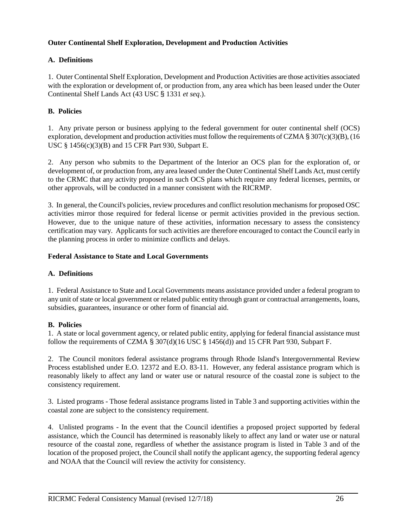#### **Outer Continental Shelf Exploration, Development and Production Activities**

#### **A. Definitions**

1. Outer Continental Shelf Exploration, Development and Production Activities are those activities associated with the exploration or development of, or production from, any area which has been leased under the Outer Continental Shelf Lands Act (43 USC § 1331 *et seq*.).

#### **B. Policies**

1. Any private person or business applying to the federal government for outer continental shelf (OCS) exploration, development and production activities must follow the requirements of CZMA § 307(c)(3)(B), (16 USC § 1456(c)(3)(B) and 15 CFR Part 930, Subpart E.

2. Any person who submits to the Department of the Interior an OCS plan for the exploration of, or development of, or production from, any area leased under the Outer Continental Shelf Lands Act, must certify to the CRMC that any activity proposed in such OCS plans which require any federal licenses, permits, or other approvals, will be conducted in a manner consistent with the RICRMP.

3. In general, the Council's policies, review procedures and conflict resolution mechanisms for proposed OSC activities mirror those required for federal license or permit activities provided in the previous section. However, due to the unique nature of these activities, information necessary to assess the consistency certification may vary. Applicants for such activities are therefore encouraged to contact the Council early in the planning process in order to minimize conflicts and delays.

#### **Federal Assistance to State and Local Governments**

#### **A. Definitions**

1. Federal Assistance to State and Local Governments means assistance provided under a federal program to any unit of state or local government or related public entity through grant or contractual arrangements, loans, subsidies, guarantees, insurance or other form of financial aid.

#### **B. Policies**

1. A state or local government agency, or related public entity, applying for federal financial assistance must follow the requirements of CZMA  $\S 307(d)(16$  USC  $\S 1456(d))$  and 15 CFR Part 930, Subpart F.

2. The Council monitors federal assistance programs through Rhode Island's Intergovernmental Review Process established under E.O. 12372 and E.O. 83-11. However, any federal assistance program which is reasonably likely to affect any land or water use or natural resource of the coastal zone is subject to the consistency requirement.

3. Listed programs - Those federal assistance programs listed in Table 3 and supporting activities within the coastal zone are subject to the consistency requirement.

4. Unlisted programs - In the event that the Council identifies a proposed project supported by federal assistance, which the Council has determined is reasonably likely to affect any land or water use or natural resource of the coastal zone, regardless of whether the assistance program is listed in Table 3 and of the location of the proposed project, the Council shall notify the applicant agency, the supporting federal agency and NOAA that the Council will review the activity for consistency.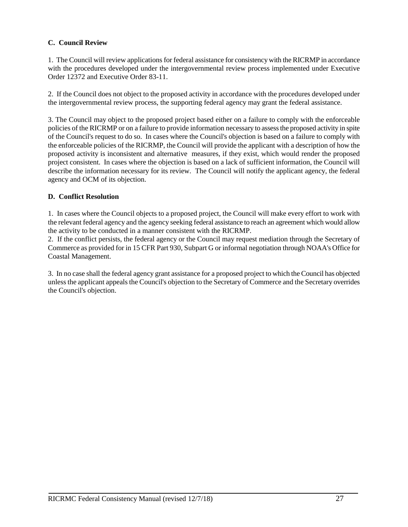#### **C. Council Review**

1. The Council will review applications for federal assistance for consistency with the RICRMP in accordance with the procedures developed under the intergovernmental review process implemented under Executive Order 12372 and Executive Order 83-11.

2. If the Council does not object to the proposed activity in accordance with the procedures developed under the intergovernmental review process, the supporting federal agency may grant the federal assistance.

3. The Council may object to the proposed project based either on a failure to comply with the enforceable policies of the RICRMP or on a failure to provide information necessary to assess the proposed activity in spite of the Council's request to do so. In cases where the Council's objection is based on a failure to comply with the enforceable policies of the RICRMP, the Council will provide the applicant with a description of how the proposed activity is inconsistent and alternative measures, if they exist, which would render the proposed project consistent. In cases where the objection is based on a lack of sufficient information, the Council will describe the information necessary for its review. The Council will notify the applicant agency, the federal agency and OCM of its objection.

#### **D. Conflict Resolution**

1. In cases where the Council objects to a proposed project, the Council will make every effort to work with the relevant federal agency and the agency seeking federal assistance to reach an agreement which would allow the activity to be conducted in a manner consistent with the RICRMP.

2. If the conflict persists, the federal agency or the Council may request mediation through the Secretary of Commerce as provided for in 15 CFR Part 930, Subpart G or informal negotiation through NOAA's Office for Coastal Management.

3. In no case shall the federal agency grant assistance for a proposed project to which the Council has objected unless the applicant appeals the Council's objection to the Secretary of Commerce and the Secretary overrides the Council's objection.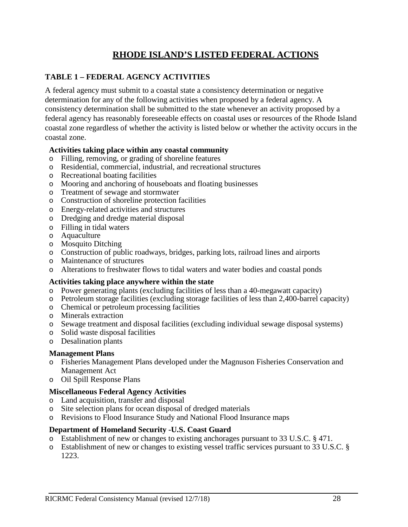## **RHODE ISLAND'S LISTED FEDERAL ACTIONS**

## **TABLE 1 – FEDERAL AGENCY ACTIVITIES**

A federal agency must submit to a coastal state a consistency determination or negative determination for any of the following activities when proposed by a federal agency. A consistency determination shall be submitted to the state whenever an activity proposed by a federal agency has reasonably foreseeable effects on coastal uses or resources of the Rhode Island coastal zone regardless of whether the activity is listed below or whether the activity occurs in the coastal zone.

#### **Activities taking place within any coastal community**

- o Filling, removing, or grading of shoreline features
- o Residential, commercial, industrial, and recreational structures
- o Recreational boating facilities
- o Mooring and anchoring of houseboats and floating businesses
- o Treatment of sewage and stormwater
- o Construction of shoreline protection facilities
- o Energy-related activities and structures
- o Dredging and dredge material disposal
- o Filling in tidal waters
- o Aquaculture
- o Mosquito Ditching
- o Construction of public roadways, bridges, parking lots, railroad lines and airports
- o Maintenance of structures
- o Alterations to freshwater flows to tidal waters and water bodies and coastal ponds

## **Activities taking place anywhere within the state**

- o Power generating plants (excluding facilities of less than a 40-megawatt capacity)
- o Petroleum storage facilities (excluding storage facilities of less than 2,400-barrel capacity)
- o Chemical or petroleum processing facilities
- o Minerals extraction
- o Sewage treatment and disposal facilities (excluding individual sewage disposal systems)
- o Solid waste disposal facilities
- o Desalination plants

## **Management Plans**

- o Fisheries Management Plans developed under the Magnuson Fisheries Conservation and Management Act
- o Oil Spill Response Plans

## **Miscellaneous Federal Agency Activities**

- o Land acquisition, transfer and disposal
- Site selection plans for ocean disposal of dredged materials
- o Revisions to Flood Insurance Study and National Flood Insurance maps

## **Department of Homeland Security -U.S. Coast Guard**

- o Establishment of new or changes to existing anchorages pursuant to 33 U.S.C. § 471.
- o Establishment of new or changes to existing vessel traffic services pursuant to 33 U.S.C. § 1223.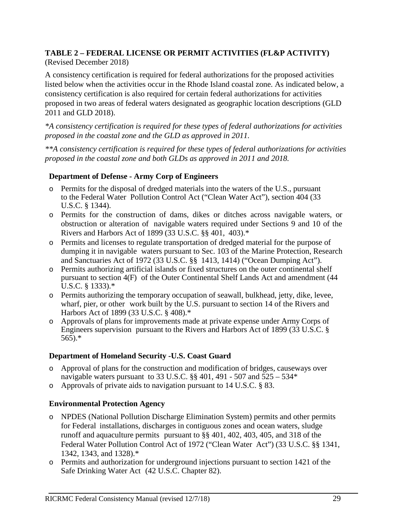# **TABLE 2 – FEDERAL LICENSE OR PERMIT ACTIVITIES (FL&P ACTIVITY)**

## (Revised December 2018)

A consistency certification is required for federal authorizations for the proposed activities listed below when the activities occur in the Rhode Island coastal zone. As indicated below, a consistency certification is also required for certain federal authorizations for activities proposed in two areas of federal waters designated as geographic location descriptions (GLD 2011 and GLD 2018).

*\*A consistency certification is required for these types of federal authorizations for activities proposed in the coastal zone and the GLD as approved in 2011.*

*\*\*A consistency certification is required for these types of federal authorizations for activities proposed in the coastal zone and both GLDs as approved in 2011 and 2018.*

## **Department of Defense - Army Corp of Engineers**

- o Permits for the disposal of dredged materials into the waters of the U.S., pursuant to the Federal Water Pollution Control Act ("Clean Water Act"), section 404 (33 U.S.C. § 1344).
- o Permits for the construction of dams, dikes or ditches across navigable waters, or obstruction or alteration of navigable waters required under Sections 9 and 10 of the Rivers and Harbors Act of 1899 (33 U.S.C. §§ 401, 403).\*
- o Permits and licenses to regulate transportation of dredged material for the purpose of dumping it in navigable waters pursuant to Sec. 103 of the Marine Protection, Research and Sanctuaries Act of 1972 (33 U.S.C. §§ 1413, 1414) ("Ocean Dumping Act").
- o Permits authorizing artificial islands or fixed structures on the outer continental shelf pursuant to section 4(F) of the Outer Continental Shelf Lands Act and amendment (44 U.S.C. § 1333).\*
- o Permits authorizing the temporary occupation of seawall, bulkhead, jetty, dike, levee, wharf, pier, or other work built by the U.S. pursuant to section 14 of the Rivers and Harbors Act of 1899 (33 U.S.C. § 408).\*
- o Approvals of plans for improvements made at private expense under Army Corps of Engineers supervision pursuant to the Rivers and Harbors Act of 1899 (33 U.S.C. § 565).\*

## **Department of Homeland Security -U.S. Coast Guard**

- o Approval of plans for the construction and modification of bridges, causeways over navigable waters pursuant to 33 U.S.C.  $\S$ § 401, 491 - 507 and 525 - 534\*
- o Approvals of private aids to navigation pursuant to 14 U.S.C. § 83.

## **Environmental Protection Agency**

- o NPDES (National Pollution Discharge Elimination System) permits and other permits for Federal installations, discharges in contiguous zones and ocean waters, sludge runoff and aquaculture permits pursuant to §§ 401, 402, 403, 405, and 318 of the Federal Water Pollution Control Act of 1972 ("Clean Water Act") (33 U.S.C. §§ 1341, 1342, 1343, and 1328).\*
- o Permits and authorization for underground injections pursuant to section 1421 of the Safe Drinking Water Act (42 U.S.C. Chapter 82).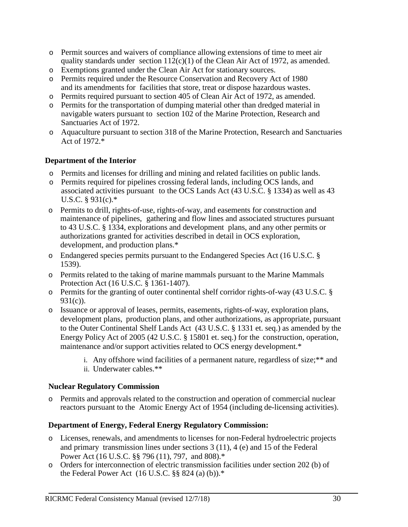- o Permit sources and waivers of compliance allowing extensions of time to meet air quality standards under section  $112(c)(1)$  of the Clean Air Act of 1972, as amended.
- o Exemptions granted under the Clean Air Act for stationary sources.
- o Permits required under the Resource Conservation and Recovery Act of 1980 and its amendments for facilities that store, treat or dispose hazardous wastes.
- o Permits required pursuant to section 405 of Clean Air Act of 1972, as amended.
- o Permits for the transportation of dumping material other than dredged material in navigable waters pursuant to section 102 of the Marine Protection, Research and Sanctuaries Act of 1972.
- o Aquaculture pursuant to section 318 of the Marine Protection, Research and Sanctuaries Act of 1972.\*

#### **Department of the Interior**

- o Permits and licenses for drilling and mining and related facilities on public lands.
- o Permits required for pipelines crossing federal lands, including OCS lands, and associated activities pursuant to the OCS Lands Act (43 U.S.C. § 1334) as well as 43 U.S.C. § 931(c).\*
- o Permits to drill, rights-of-use, rights-of-way, and easements for construction and maintenance of pipelines, gathering and flow lines and associated structures pursuant to 43 U.S.C. § 1334, explorations and development plans, and any other permits or authorizations granted for activities described in detail in OCS exploration, development, and production plans.\*
- o Endangered species permits pursuant to the Endangered Species Act (16 U.S.C. § 1539).
- o Permits related to the taking of marine mammals pursuant to the Marine Mammals Protection Act (16 U.S.C. § 1361-1407).
- o Permits for the granting of outer continental shelf corridor rights-of-way (43 U.S.C. § 931(c)).
- o Issuance or approval of leases, permits, easements, rights-of-way, exploration plans, development plans, production plans, and other authorizations, as appropriate, pursuant to the Outer Continental Shelf Lands Act (43 U.S.C. § 1331 et. seq.) as amended by the Energy Policy Act of 2005 (42 U.S.C. § 15801 et. seq.) for the construction, operation, maintenance and/or support activities related to OCS energy development.\*
	- i. Any offshore wind facilities of a permanent nature, regardless of size;\*\* and ii. Underwater cables.\*\*

#### **Nuclear Regulatory Commission**

o Permits and approvals related to the construction and operation of commercial nuclear reactors pursuant to the Atomic Energy Act of 1954 (including de-licensing activities).

#### **Department of Energy, Federal Energy Regulatory Commission:**

- o Licenses, renewals, and amendments to licenses for non-Federal hydroelectric projects and primary transmission lines under sections 3 (11), 4 (e) and 15 of the Federal Power Act (16 U.S.C. §§ 796 (11), 797, and 808).\*
- o Orders for interconnection of electric transmission facilities under section 202 (b) of the Federal Power Act  $(16 \text{ U.S.C.}$  §§ 824 $(a)$  $(b)$ ).<sup>\*</sup>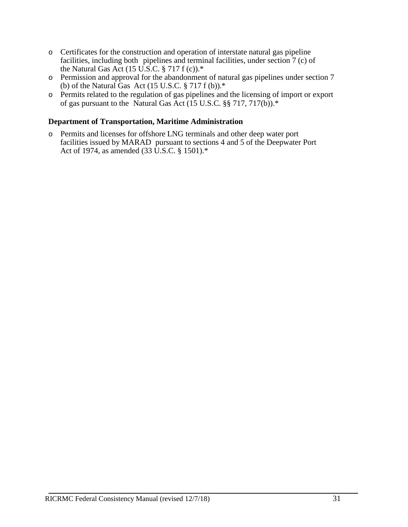- o Certificates for the construction and operation of interstate natural gas pipeline facilities, including both pipelines and terminal facilities, under section 7 (c) of the Natural Gas Act (15 U.S.C. § 717 f (c)). $*$
- o Permission and approval for the abandonment of natural gas pipelines under section 7 (b) of the Natural Gas Act (15 U.S.C.  $\S 717 f(b)$ ).\*
- o Permits related to the regulation of gas pipelines and the licensing of import or export of gas pursuant to the Natural Gas Act (15 U.S.C. §§ 717, 717(b)).\*

#### **Department of Transportation, Maritime Administration**

o Permits and licenses for offshore LNG terminals and other deep water port facilities issued by MARAD pursuant to sections 4 and 5 of the Deepwater Port Act of 1974, as amended (33 U.S.C. § 1501).\*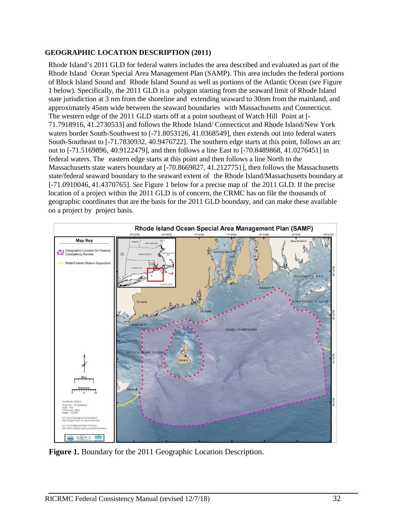#### **GEOGRAPHIC LOCATION DESCRIPTION (2011)**

Rhode Island's 2011 GLD for federal waters includes the area described and evaluated as part of the Rhode Island Ocean Special Area Management Plan (SAMP). This area includes the federal portions of Block Island Sound and Rhode Island Sound as well as portions of the Atlantic Ocean (*see* Figure 1 below). Specifically, the 2011 GLD is a polygon starting from the seaward limit of Rhode Island state jurisdiction at 3 nm from the shoreline and extending seaward to 30nm from the mainland, and approximately 45nm wide between the seaward boundaries with Massachusetts and Connecticut. The western edge of the 2011 GLD starts off at a point southeast of Watch Hill Point at [- 71.7918916, 41.2730533] and follows the Rhode Island/ Connecticut and Rhode Island/New York waters border South-Southwest to [-71.8053126, 41.0368549], then extends out into federal waters South-Southeast to [-71.7830932, 40.9476722]. The southern edge starts at this point, follows an arc out to [-71.5169896, 40.9122479], and then follows a line East to [-70.8489868, 41.0276451] in federal waters. The eastern edge starts at this point and then follows a line North to the Massachusetts state waters boundary at [-70.8669827, 41.2127751], then follows the Massachusetts state/federal seaward boundary to the seaward extent of the Rhode Island/Massachusetts boundary at [-71.0910046, 41.4370765]. *See* Figure 1 below for a precise map of the 2011 GLD. If the precise location of a project within the 2011 GLD is of concern, the CRMC has on file the thousands of geographic coordinates that are the basis for the 2011 GLD boundary, and can make these available on a project by project basis.



**Figure 1.** Boundary for the 2011 Geographic Location Description.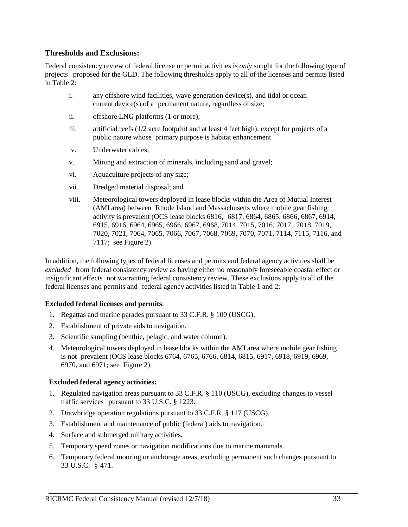#### **Thresholds and Exclusions:**

Federal consistency review of federal license or permit activities is *only* sought for the following type of projects proposed for the GLD. The following thresholds apply to all of the licenses and permits listed in Table 2:

- i. any offshore wind facilities, wave generation device(s), and tidal or ocean current device(s) of a permanent nature, regardless of size;
- ii. offshore LNG platforms (1 or more);
- iii. artificial reefs (1/2 acre footprint and at least 4 feet high), except for projects of a public nature whose primary purpose is habitat enhancement
- iv. Underwater cables;
- v. Mining and extraction of minerals, including sand and gravel;
- vi. Aquaculture projects of any size;
- vii. Dredged material disposal; and
- viii. Meteorological towers deployed in lease blocks within the Area of Mutual Interest (AMI area) between Rhode Island and Massachusetts where mobile gear fishing activity is prevalent (OCS lease blocks 6816, 6817, 6864, 6865, 6866, 6867, 6914, 6915, 6916, 6964, 6965, 6966, 6967, 6968, 7014, 7015, 7016, 7017, 7018, 7019, 7020, 7021, 7064, 7065, 7066, 7067, 7068, 7069, 7070, 7071, 7114, 7115, 7116, and 7117; see Figure 2).

In addition, the following types of federal licenses and permits and federal agency activities shall be *excluded* from federal consistency review as having either no reasonably foreseeable coastal effect or insignificant effects not warranting federal consistency review. These exclusions apply to all of the federal licenses and permits and federal agency activities listed in Table 1 and 2:

#### **Excluded federal licenses and permits**:

- 1. Regattas and marine parades pursuant to 33 C.F.R. § 100 (USCG).
- 2. Establishment of private aids to navigation.
- 3. Scientific sampling (benthic, pelagic, and water column).
- 4. Meteorological towers deployed in lease blocks within the AMI area where mobile gear fishing is not prevalent (OCS lease blocks 6764, 6765, 6766, 6814, 6815, 6917, 6918, 6919, 6969, 6970, and 6971; see Figure 2).

#### **Excluded federal agency activities:**

- 1. Regulated navigation areas pursuant to 33 C.F.R. § 110 (USCG), excluding changes to vessel traffic services pursuant to 33 U.S.C. § 1223.
- 2. Drawbridge operation regulations pursuant to 33 C.F.R. § 117 (USCG).
- 3. Establishment and maintenance of public (federal) aids to navigation.
- 4. Surface and submerged military activities.
- 5. Temporary speed zones or navigation modifications due to marine mammals.
- 6. Temporary federal mooring or anchorage areas, excluding permanent such changes pursuant to 33 U.S.C. § 471.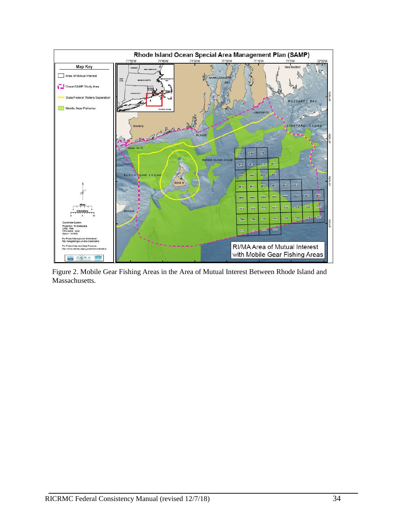

Figure 2. Mobile Gear Fishing Areas in the Area of Mutual Interest Between Rhode Island and Massachusetts.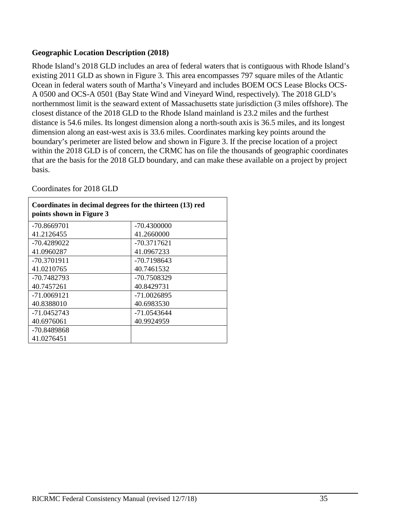## **Geographic Location Description (2018)**

Rhode Island's 2018 GLD includes an area of federal waters that is contiguous with Rhode Island's existing 2011 GLD as shown in Figure 3. This area encompasses 797 square miles of the Atlantic Ocean in federal waters south of Martha's Vineyard and includes BOEM OCS Lease Blocks OCS-A 0500 and OCS-A 0501 (Bay State Wind and Vineyard Wind, respectively). The 2018 GLD's northernmost limit is the seaward extent of Massachusetts state jurisdiction (3 miles offshore). The closest distance of the 2018 GLD to the Rhode Island mainland is 23.2 miles and the furthest distance is 54.6 miles. Its longest dimension along a north-south axis is 36.5 miles, and its longest dimension along an east-west axis is 33.6 miles. Coordinates marking key points around the boundary's perimeter are listed below and shown in Figure 3. If the precise location of a project within the 2018 GLD is of concern, the CRMC has on file the thousands of geographic coordinates that are the basis for the 2018 GLD boundary, and can make these available on a project by project basis.

Coordinates for 2018 GLD

| Coordinates in decimal degrees for the thirteen (13) red<br>points shown in Figure 3 |               |  |  |
|--------------------------------------------------------------------------------------|---------------|--|--|
| -70.8669701                                                                          | -70.4300000   |  |  |
| 41.2126455                                                                           | 41.2660000    |  |  |
| -70.4289022                                                                          | $-70.3717621$ |  |  |
| 41.0960287                                                                           | 41.0967233    |  |  |
| -70.3701911                                                                          | $-70.7198643$ |  |  |
| 41.0210765                                                                           | 40.7461532    |  |  |
| -70.7482793                                                                          | -70.7508329   |  |  |
| 40.7457261                                                                           | 40.8429731    |  |  |
| $-71.0069121$                                                                        | $-71.0026895$ |  |  |
| 40.8388010                                                                           | 40.6983530    |  |  |
| -71.0452743                                                                          | -71.0543644   |  |  |
| 40.6976061                                                                           | 40.9924959    |  |  |
| -70.8489868                                                                          |               |  |  |
| 41.0276451                                                                           |               |  |  |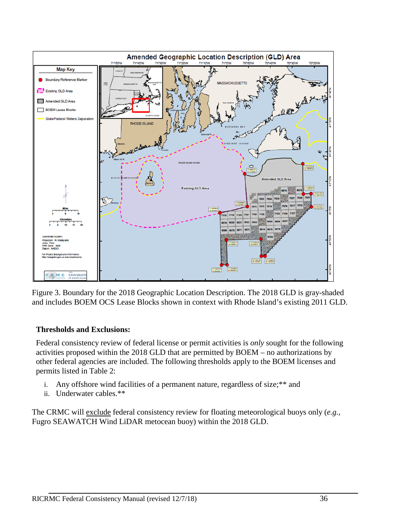

Figure 3. Boundary for the 2018 Geographic Location Description. The 2018 GLD is gray-shaded and includes BOEM OCS Lease Blocks shown in context with Rhode Island's existing 2011 GLD.

## **Thresholds and Exclusions:**

Federal consistency review of federal license or permit activities is *only* sought for the following activities proposed within the 2018 GLD that are permitted by BOEM – no authorizations by other federal agencies are included. The following thresholds apply to the BOEM licenses and permits listed in Table 2:

- i. Any offshore wind facilities of a permanent nature, regardless of size;\*\* and
- ii. Underwater cables.\*\*

The CRMC will exclude federal consistency review for floating meteorological buoys only (*e.g.*, Fugro SEAWATCH Wind LiDAR metocean buoy) within the 2018 GLD.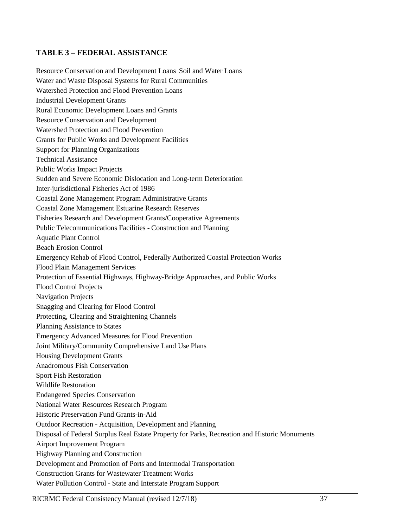## **TABLE 3 – FEDERAL ASSISTANCE**

Resource Conservation and Development Loans Soil and Water Loans Water and Waste Disposal Systems for Rural Communities Watershed Protection and Flood Prevention Loans Industrial Development Grants Rural Economic Development Loans and Grants Resource Conservation and Development Watershed Protection and Flood Prevention Grants for Public Works and Development Facilities Support for Planning Organizations Technical Assistance Public Works Impact Projects Sudden and Severe Economic Dislocation and Long-term Deterioration Inter-jurisdictional Fisheries Act of 1986 Coastal Zone Management Program Administrative Grants Coastal Zone Management Estuarine Research Reserves Fisheries Research and Development Grants/Cooperative Agreements Public Telecommunications Facilities - Construction and Planning Aquatic Plant Control Beach Erosion Control Emergency Rehab of Flood Control, Federally Authorized Coastal Protection Works Flood Plain Management Services Protection of Essential Highways, Highway-Bridge Approaches, and Public Works Flood Control Projects Navigation Projects Snagging and Clearing for Flood Control Protecting, Clearing and Straightening Channels Planning Assistance to States Emergency Advanced Measures for Flood Prevention Joint Military/Community Comprehensive Land Use Plans Housing Development Grants Anadromous Fish Conservation Sport Fish Restoration Wildlife Restoration Endangered Species Conservation National Water Resources Research Program Historic Preservation Fund Grants-in-Aid Outdoor Recreation - Acquisition, Development and Planning Disposal of Federal Surplus Real Estate Property for Parks, Recreation and Historic Monuments Airport Improvement Program Highway Planning and Construction Development and Promotion of Ports and Intermodal Transportation Construction Grants for Wastewater Treatment Works Water Pollution Control - State and Interstate Program Support